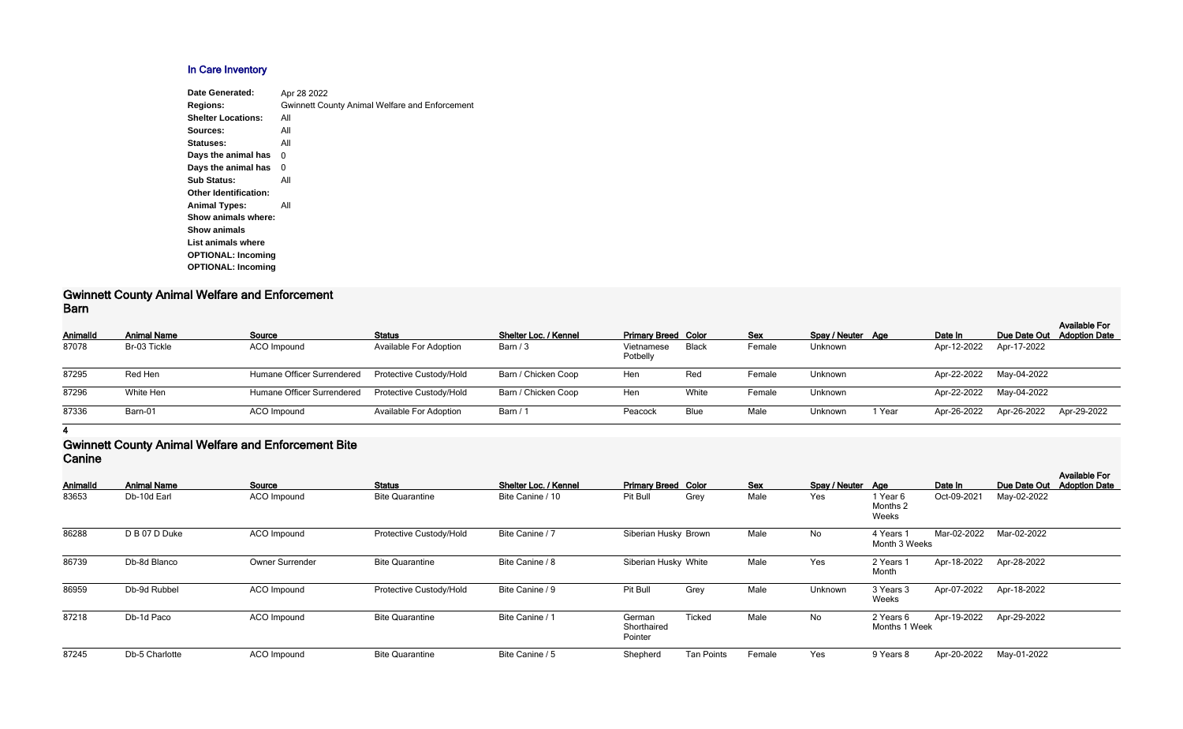## **In Care Inventory**

| Apr 28 2022                                           |
|-------------------------------------------------------|
| <b>Gwinnett County Animal Welfare and Enforcement</b> |
| All                                                   |
| All                                                   |
| All                                                   |
| 0                                                     |
| 0                                                     |
| All                                                   |
|                                                       |
| All                                                   |
|                                                       |
|                                                       |
|                                                       |
|                                                       |
|                                                       |
|                                                       |

#### **Gwinnett County Animal Welfare and Enforcement Barn**

| _____    |                    |                            |                                |                       |                            |       |            |                   |        |                         |                            |                      |
|----------|--------------------|----------------------------|--------------------------------|-----------------------|----------------------------|-------|------------|-------------------|--------|-------------------------|----------------------------|----------------------|
| Animalld | <b>Animal Name</b> | Source                     | <b>Status</b>                  | Shelter Loc. / Kennel | <b>Primary Breed Color</b> |       | <b>Sex</b> | Spay / Neuter Age |        | Date In                 | Due Date Out Adoption Date | <b>Available For</b> |
| 87078    | Br-03 Tickle       | ACO Impound                | <b>Available For Adoption</b>  | Barn / 3              | Vietnamese<br>Potbelly     | Black | Female     | Unknown           |        | Apr-12-2022             | Apr-17-2022                |                      |
| 87295    | Red Hen            | Humane Officer Surrendered | <b>Protective Custody/Hold</b> | Barn / Chicken Coop   | Hen                        | Red   | Female     | Unknown           |        | Apr-22-2022 May-04-2022 |                            |                      |
| 87296    | White Hen          | Humane Officer Surrendered | Protective Custody/Hold        | Barn / Chicken Coop   | Hen                        | White | Female     | Unknown           |        | Apr-22-2022 May-04-2022 |                            |                      |
| 87336    | Barn-01            | ACO Impound                | <b>Available For Adoption</b>  | Barn / 1              | Peacock                    | Blue  | Male       | Unknown           | 1 Year | Apr-26-2022             | Apr-26-2022                | Apr-29-2022          |

**4**

### **Gwinnett County Animal Welfare and Enforcement Bite Canine**

| Animalld | <b>Animal Name</b> | Source                 | <b>Status</b>           | Shelter Loc. / Kennel | <b>Primary Breed Color</b>       |                   | <b>Sex</b> | Spay / Neuter Age |                               | Date In     | Due Date Out | <b>Available For</b><br><b>Adoption Date</b> |
|----------|--------------------|------------------------|-------------------------|-----------------------|----------------------------------|-------------------|------------|-------------------|-------------------------------|-------------|--------------|----------------------------------------------|
| 83653    | Db-10d Earl        | ACO Impound            | <b>Bite Quarantine</b>  | Bite Canine / 10      | Pit Bull                         | Grey              | Male       | Yes               | 1 Year 6<br>Months 2<br>Weeks | Oct-09-2021 | May-02-2022  |                                              |
| 86288    | D B 07 D Duke      | ACO Impound            | Protective Custody/Hold | Bite Canine / 7       | Siberian Husky Brown             |                   | Male       | No                | 4 Years 1<br>Month 3 Weeks    | Mar-02-2022 | Mar-02-2022  |                                              |
| 86739    | Db-8d Blanco       | <b>Owner Surrender</b> | <b>Bite Quarantine</b>  | Bite Canine / 8       | Siberian Husky White             |                   | Male       | Yes               | 2 Years<br>Month              | Apr-18-2022 | Apr-28-2022  |                                              |
| 86959    | Db-9d Rubbel       | ACO Impound            | Protective Custody/Hold | Bite Canine / 9       | Pit Bull                         | Grey              | Male       | Unknown           | 3 Years 3<br>Weeks            | Apr-07-2022 | Apr-18-2022  |                                              |
| 87218    | Db-1d Paco         | ACO Impound            | <b>Bite Quarantine</b>  | Bite Canine / 1       | German<br>Shorthaired<br>Pointer | <b>Ticked</b>     | Male       | No                | 2 Years 6<br>Months 1 Week    | Apr-19-2022 | Apr-29-2022  |                                              |
| 87245    | Db-5 Charlotte     | ACO Impound            | <b>Bite Quarantine</b>  | Bite Canine / 5       | Shepherd                         | <b>Tan Points</b> | Female     | Yes               | 9 Years 8                     | Apr-20-2022 | May-01-2022  |                                              |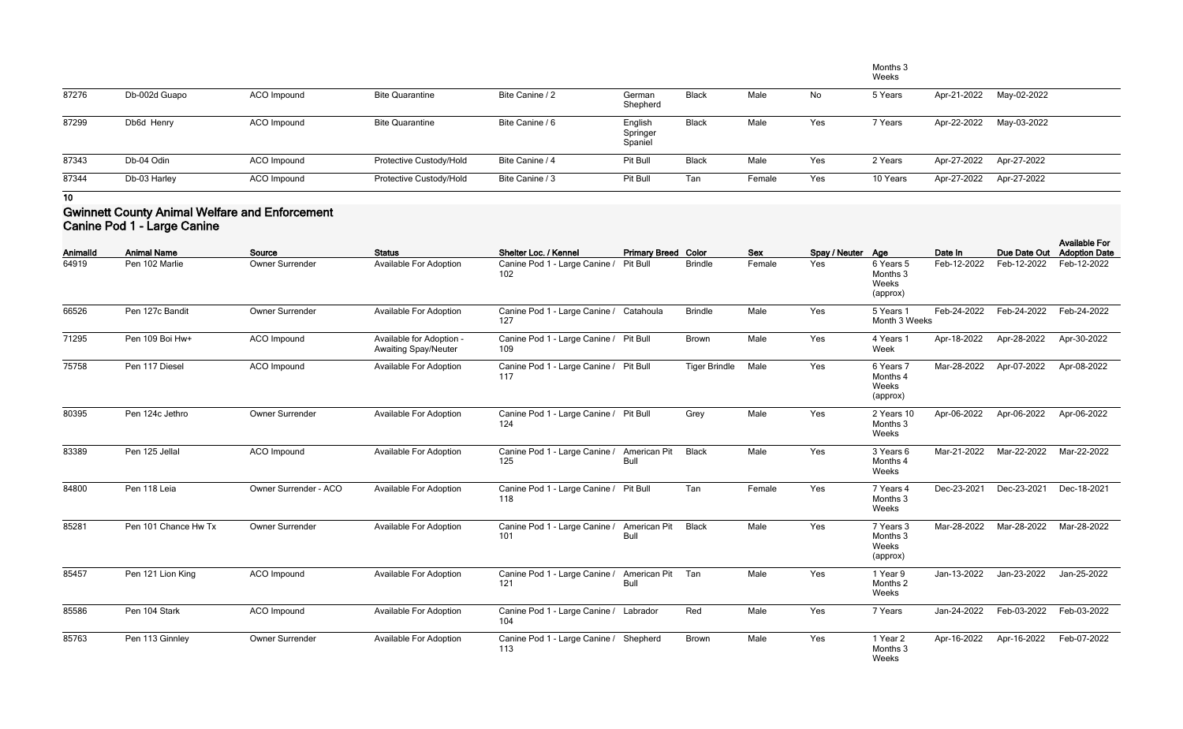|       |               |             |                         |                 |                                |              |        |     | Months 3<br>Weeks |             |                         |
|-------|---------------|-------------|-------------------------|-----------------|--------------------------------|--------------|--------|-----|-------------------|-------------|-------------------------|
| 87276 | Db-002d Guapo | ACO Impound | <b>Bite Quarantine</b>  | Bite Canine / 2 | German<br>Shepherd             | <b>Black</b> | Male   | No  | 5 Years           | Apr-21-2022 | May-02-2022             |
| 87299 | Db6d Henry    | ACO Impound | <b>Bite Quarantine</b>  | Bite Canine / 6 | English<br>Springer<br>Spaniel | <b>Black</b> | Male   | Yes | 7 Years           | Apr-22-2022 | May-03-2022             |
| 87343 | Db-04 Odin    | ACO Impound | Protective Custody/Hold | Bite Canine / 4 | Pit Bull                       | <b>Black</b> | Male   | Yes | 2 Years           |             | Apr-27-2022 Apr-27-2022 |
| 87344 | Db-03 Harley  | ACO Impound | Protective Custody/Hold | Bite Canine / 3 | Pit Bull                       | Tan          | Female | Yes | 10 Years          |             | Apr-27-2022 Apr-27-2022 |

## **Gwinnett County Animal Welfare and Enforcement Canine Pod 1 - Large Canine**

| <b>AnimalId</b> | <b>Animal Name</b>   | Source                 | <b>Status</b>                                           | Shelter Loc. / Kennel                          | <b>Primary Breed Color</b>  |                      | <b>Sex</b> | Spay / Neuter Age |                                            | Date In     |             | <b>Available For</b><br>Due Date Out Adoption Date |
|-----------------|----------------------|------------------------|---------------------------------------------------------|------------------------------------------------|-----------------------------|----------------------|------------|-------------------|--------------------------------------------|-------------|-------------|----------------------------------------------------|
| 64919           | Pen 102 Marlie       | Owner Surrender        | <b>Available For Adoption</b>                           | Canine Pod 1 - Large Canine /<br>102           | Pit Bull                    | <b>Brindle</b>       | Female     | Yes               | 6 Years 5<br>Months 3<br>Weeks<br>(approx) | Feb-12-2022 | Feb-12-2022 | Feb-12-2022                                        |
| 66526           | Pen 127c Bandit      | Owner Surrender        | Available For Adoption                                  | Canine Pod 1 - Large Canine / Catahoula<br>127 |                             | <b>Brindle</b>       | Male       | Yes               | 5 Years 1<br>Month 3 Weeks                 | Feb-24-2022 | Feb-24-2022 | Feb-24-2022                                        |
| 71295           | Pen 109 Boi Hw+      | ACO Impound            | Available for Adoption -<br><b>Awaiting Spay/Neuter</b> | Canine Pod 1 - Large Canine / Pit Bull<br>109  |                             | Brown                | Male       | Yes               | 4 Years 1<br>Week                          | Apr-18-2022 | Apr-28-2022 | Apr-30-2022                                        |
| 75758           | Pen 117 Diesel       | ACO Impound            | <b>Available For Adoption</b>                           | Canine Pod 1 - Large Canine / Pit Bull<br>117  |                             | <b>Tiger Brindle</b> | Male       | Yes               | 6 Years 7<br>Months 4<br>Weeks<br>(approx) | Mar-28-2022 | Apr-07-2022 | Apr-08-2022                                        |
| 80395           | Pen 124c Jethro      | Owner Surrender        | <b>Available For Adoption</b>                           | Canine Pod 1 - Large Canine / Pit Bull<br>124  |                             | Grey                 | Male       | Yes               | 2 Years 10<br>Months 3<br>Weeks            | Apr-06-2022 | Apr-06-2022 | Apr-06-2022                                        |
| 83389           | Pen 125 Jellal       | ACO Impound            | <b>Available For Adoption</b>                           | Canine Pod 1 - Large Canine /<br>125           | American Pit<br><b>Bull</b> | <b>Black</b>         | Male       | Yes               | 3 Years 6<br>Months 4<br>Weeks             | Mar-21-2022 | Mar-22-2022 | Mar-22-2022                                        |
| 84800           | Pen 118 Leia         | Owner Surrender - ACO  | <b>Available For Adoption</b>                           | Canine Pod 1 - Large Canine / Pit Bull<br>118  |                             | Tan                  | Female     | Yes               | 7 Years 4<br>Months 3<br>Weeks             | Dec-23-2021 | Dec-23-2021 | Dec-18-2021                                        |
| 85281           | Pen 101 Chance Hw Tx | Owner Surrender        | <b>Available For Adoption</b>                           | Canine Pod 1 - Large Canine /<br>101           | <b>American Pit</b><br>Bull | <b>Black</b>         | Male       | Yes               | 7 Years 3<br>Months 3<br>Weeks<br>(approx) | Mar-28-2022 | Mar-28-2022 | Mar-28-2022                                        |
| 85457           | Pen 121 Lion King    | ACO Impound            | <b>Available For Adoption</b>                           | Canine Pod 1 - Large Canine /<br>121           | American Pit<br><b>Bull</b> | Tan                  | Male       | Yes               | 1 Year 9<br>Months 2<br>Weeks              | Jan-13-2022 | Jan-23-2022 | Jan-25-2022                                        |
| 85586           | Pen 104 Stark        | ACO Impound            | <b>Available For Adoption</b>                           | Canine Pod 1 - Large Canine / Labrador<br>104  |                             | Red                  | Male       | Yes               | 7 Years                                    | Jan-24-2022 | Feb-03-2022 | Feb-03-2022                                        |
| 85763           | Pen 113 Ginnley      | <b>Owner Surrender</b> | <b>Available For Adoption</b>                           | Canine Pod 1 - Large Canine / Shepherd<br>113  |                             | <b>Brown</b>         | Male       | Yes               | 1 Year 2<br>Months 3<br>Weeks              | Apr-16-2022 | Apr-16-2022 | Feb-07-2022                                        |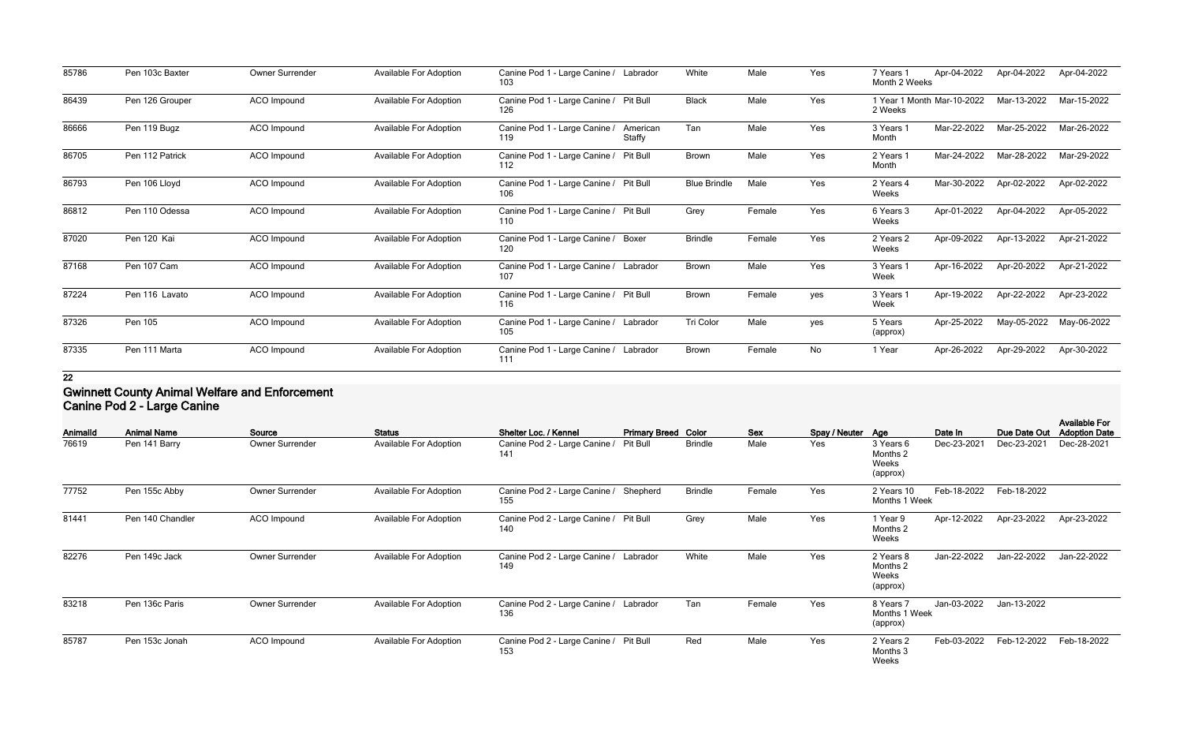| 85786 | Pen 103c Baxter | Owner Surrender    | Available For Adoption        | Canine Pod 1 - Large Canine / Labrador<br>103              | White               | Male   | Yes | Apr-04-2022<br>7 Years 1<br>Month 2 Weeks | Apr-04-2022 | Apr-04-2022 |
|-------|-----------------|--------------------|-------------------------------|------------------------------------------------------------|---------------------|--------|-----|-------------------------------------------|-------------|-------------|
| 86439 | Pen 126 Grouper | ACO Impound        | <b>Available For Adoption</b> | Canine Pod 1 - Large Canine / Pit Bull<br>126              | <b>Black</b>        | Male   | Yes | 1 Year 1 Month Mar-10-2022<br>2 Weeks     | Mar-13-2022 | Mar-15-2022 |
| 86666 | Pen 119 Bugz    | ACO Impound        | Available For Adoption        | Canine Pod 1 - Large Canine /<br>American<br>Staffy<br>119 | Tan                 | Male   | Yes | Mar-22-2022<br>3 Years 1<br>Month         | Mar-25-2022 | Mar-26-2022 |
| 86705 | Pen 112 Patrick | ACO Impound        | Available For Adoption        | Canine Pod 1 - Large Canine /<br>Pit Bull<br>112           | <b>Brown</b>        | Male   | Yes | Mar-24-2022<br>2 Years 1<br>Month         | Mar-28-2022 | Mar-29-2022 |
| 86793 | Pen 106 Lloyd   | ACO Impound        | <b>Available For Adoption</b> | Canine Pod 1 - Large Canine /<br><b>Pit Bull</b><br>106    | <b>Blue Brindle</b> | Male   | Yes | Mar-30-2022<br>2 Years 4<br>Weeks         | Apr-02-2022 | Apr-02-2022 |
| 86812 | Pen 110 Odessa  | <b>ACO</b> Impound | <b>Available For Adoption</b> | Canine Pod 1 - Large Canine / Pit Bull<br>110              | Grey                | Female | Yes | Apr-01-2022<br>6 Years 3<br>Weeks         | Apr-04-2022 | Apr-05-2022 |
| 87020 | Pen 120 Kai     | ACO Impound        | Available For Adoption        | Canine Pod 1 - Large Canine /<br>Boxer<br>120              | <b>Brindle</b>      | Female | Yes | Apr-09-2022<br>2 Years 2<br>Weeks         | Apr-13-2022 | Apr-21-2022 |
| 87168 | Pen 107 Cam     | ACO Impound        | Available For Adoption        | Canine Pod 1 - Large Canine / Labrador<br>107              | Brown               | Male   | Yes | Apr-16-2022<br>3 Years 1<br>Week          | Apr-20-2022 | Apr-21-2022 |
| 87224 | Pen 116 Lavato  | <b>ACO Impound</b> | Available For Adoption        | Canine Pod 1 - Large Canine / Pit Bull<br>116              | <b>Brown</b>        | Female | yes | Apr-19-2022<br>3 Years 1<br>Week          | Apr-22-2022 | Apr-23-2022 |
| 87326 | Pen 105         | ACO Impound        | Available For Adoption        | Canine Pod 1 - Large Canine / Labrador<br>105              | Tri Color           | Male   | yes | Apr-25-2022<br>5 Years<br>(approx)        | May-05-2022 | May-06-2022 |
| 87335 | Pen 111 Marta   | <b>ACO</b> Impound | Available For Adoption        | Canine Pod 1 - Large Canine /<br>Labrador<br>111           | <b>Brown</b>        | Female | No  | Apr-26-2022<br>1 Year                     | Apr-29-2022 | Apr-30-2022 |

### **Gwinnett County Animal Welfare and Enforcement Canine Pod 2 - Large Canine**

| Animalld | <b>Animal Name</b> | Source                 | <b>Status</b>                 | Shelter Loc. / Kennel                         | <b>Primary Breed Color</b> |                | Sex    | Spay / Neuter Age |                                            | Date In     | Due Date Out | <b>Available For</b><br><b>Adoption Date</b> |
|----------|--------------------|------------------------|-------------------------------|-----------------------------------------------|----------------------------|----------------|--------|-------------------|--------------------------------------------|-------------|--------------|----------------------------------------------|
| 76619    | Pen 141 Barry      | <b>Owner Surrender</b> | <b>Available For Adoption</b> | Canine Pod 2 - Large Canine /<br>141          | <b>Pit Bull</b>            | <b>Brindle</b> | Male   | Yes               | 3 Years 6<br>Months 2<br>Weeks<br>(approx) | Dec-23-2021 | Dec-23-2021  | Dec-28-2021                                  |
| 77752    | Pen 155c Abby      | <b>Owner Surrender</b> | <b>Available For Adoption</b> | Canine Pod 2 - Large Canine / Shepherd<br>155 |                            | <b>Brindle</b> | Female | Yes               | 2 Years 10<br>Months 1 Week                | Feb-18-2022 | Feb-18-2022  |                                              |
| 81441    | Pen 140 Chandler   | ACO Impound            | <b>Available For Adoption</b> | Canine Pod 2 - Large Canine / Pit Bull<br>140 |                            | Grey           | Male   | Yes               | 1 Year 9<br>Months 2<br>Weeks              | Apr-12-2022 | Apr-23-2022  | Apr-23-2022                                  |
| 82276    | Pen 149c Jack      | <b>Owner Surrender</b> | <b>Available For Adoption</b> | Canine Pod 2 - Large Canine / Labrador<br>149 |                            | White          | Male   | Yes               | 2 Years 8<br>Months 2<br>Weeks<br>(approx) | Jan-22-2022 | Jan-22-2022  | Jan-22-2022                                  |
| 83218    | Pen 136c Paris     | Owner Surrender        | <b>Available For Adoption</b> | Canine Pod 2 - Large Canine / Labrador<br>136 |                            | Tan            | Female | Yes               | 8 Years 7<br>Months 1 Week<br>(approx)     | Jan-03-2022 | Jan-13-2022  |                                              |
| 85787    | Pen 153c Jonah     | ACO Impound            | <b>Available For Adoption</b> | Canine Pod 2 - Large Canine / Pit Bull<br>153 |                            | Red            | Male   | Yes               | 2 Years 2<br>Months 3<br>Weeks             | Feb-03-2022 | Feb-12-2022  | Feb-18-2022                                  |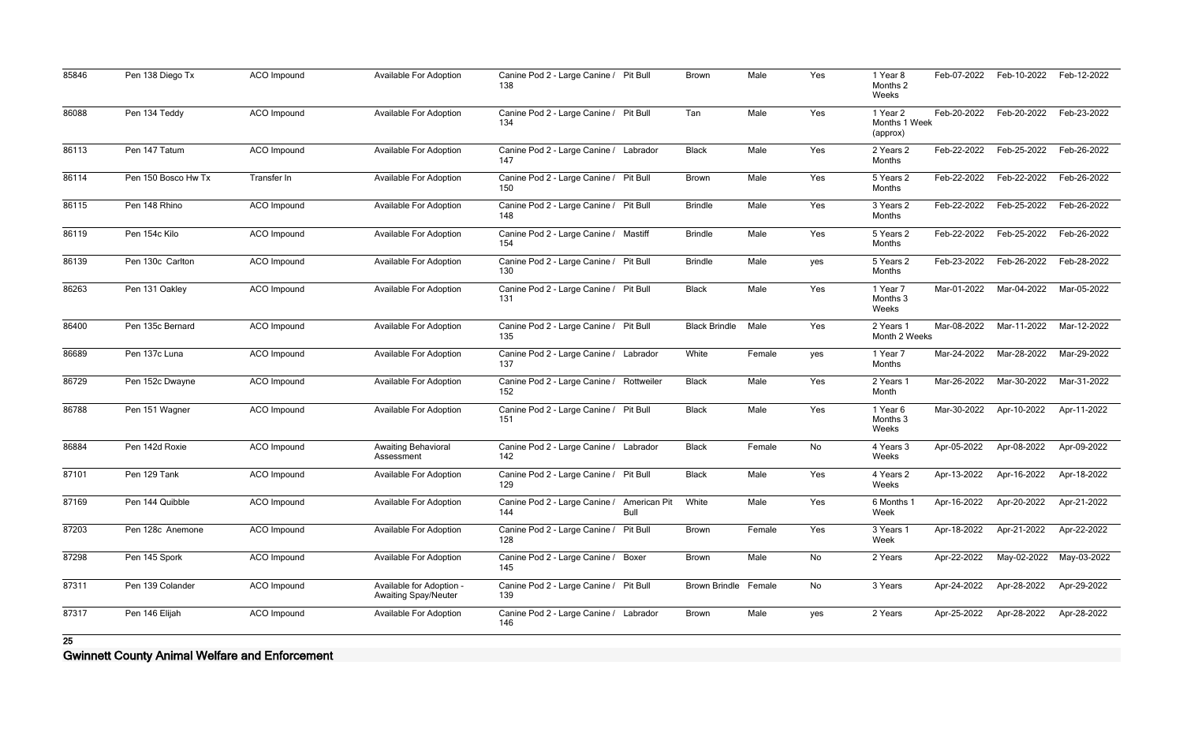| 85846 | Pen 138 Diego Tx    | <b>ACO</b> Impound | <b>Available For Adoption</b>                           | Canine Pod 2 - Large Canine / Pit Bull<br>138   |                      | <b>Brown</b>         | Male   | Yes | 1 Year 8<br>Months 2<br>Weeks         | Feb-07-2022 | Feb-10-2022 | Feb-12-2022 |
|-------|---------------------|--------------------|---------------------------------------------------------|-------------------------------------------------|----------------------|----------------------|--------|-----|---------------------------------------|-------------|-------------|-------------|
| 86088 | Pen 134 Teddy       | ACO Impound        | Available For Adoption                                  | Canine Pod 2 - Large Canine / Pit Bull<br>134   |                      | Tan                  | Male   | Yes | 1 Year 2<br>Months 1 Week<br>(approx) | Feb-20-2022 | Feb-20-2022 | Feb-23-2022 |
| 86113 | Pen 147 Tatum       | ACO Impound        | <b>Available For Adoption</b>                           | Canine Pod 2 - Large Canine / Labrador<br>147   |                      | <b>Black</b>         | Male   | Yes | 2 Years 2<br>Months                   | Feb-22-2022 | Feb-25-2022 | Feb-26-2022 |
| 86114 | Pen 150 Bosco Hw Tx | Transfer In        | <b>Available For Adoption</b>                           | Canine Pod 2 - Large Canine / Pit Bull<br>150   |                      | Brown                | Male   | Yes | 5 Years 2<br>Months                   | Feb-22-2022 | Feb-22-2022 | Feb-26-2022 |
| 86115 | Pen 148 Rhino       | ACO Impound        | <b>Available For Adoption</b>                           | Canine Pod 2 - Large Canine / Pit Bull<br>148   |                      | <b>Brindle</b>       | Male   | Yes | 3 Years 2<br>Months                   | Feb-22-2022 | Feb-25-2022 | Feb-26-2022 |
| 86119 | Pen 154c Kilo       | ACO Impound        | <b>Available For Adoption</b>                           | Canine Pod 2 - Large Canine / Mastiff<br>154    |                      | <b>Brindle</b>       | Male   | Yes | 5 Years 2<br>Months                   | Feb-22-2022 | Feb-25-2022 | Feb-26-2022 |
| 86139 | Pen 130c Carlton    | <b>ACO</b> Impound | <b>Available For Adoption</b>                           | Canine Pod 2 - Large Canine / Pit Bull<br>130   |                      | <b>Brindle</b>       | Male   | yes | 5 Years 2<br>Months                   | Feb-23-2022 | Feb-26-2022 | Feb-28-2022 |
| 86263 | Pen 131 Oakley      | ACO Impound        | <b>Available For Adoption</b>                           | Canine Pod 2 - Large Canine / Pit Bull<br>131   |                      | <b>Black</b>         | Male   | Yes | 1 Year 7<br>Months 3<br>Weeks         | Mar-01-2022 | Mar-04-2022 | Mar-05-2022 |
| 86400 | Pen 135c Bernard    | ACO Impound        | Available For Adoption                                  | Canine Pod 2 - Large Canine / Pit Bull<br>135   |                      | <b>Black Brindle</b> | Male   | Yes | 2 Years 1<br>Month 2 Weeks            | Mar-08-2022 | Mar-11-2022 | Mar-12-2022 |
| 86689 | Pen 137c Luna       | ACO Impound        | Available For Adoption                                  | Canine Pod 2 - Large Canine / Labrador<br>137   |                      | White                | Female | yes | 1 Year 7<br>Months                    | Mar-24-2022 | Mar-28-2022 | Mar-29-2022 |
| 86729 | Pen 152c Dwayne     | <b>ACO</b> Impound | <b>Available For Adoption</b>                           | Canine Pod 2 - Large Canine / Rottweiler<br>152 |                      | <b>Black</b>         | Male   | Yes | 2 Years 1<br>Month                    | Mar-26-2022 | Mar-30-2022 | Mar-31-2022 |
| 86788 | Pen 151 Wagner      | ACO Impound        | Available For Adoption                                  | Canine Pod 2 - Large Canine / Pit Bull<br>151   |                      | <b>Black</b>         | Male   | Yes | 1 Year 6<br>Months 3<br>Weeks         | Mar-30-2022 | Apr-10-2022 | Apr-11-2022 |
| 86884 | Pen 142d Roxie      | ACO Impound        | <b>Awaiting Behavioral</b><br>Assessment                | Canine Pod 2 - Large Canine / Labrador<br>142   |                      | <b>Black</b>         | Female | No  | 4 Years 3<br>Weeks                    | Apr-05-2022 | Apr-08-2022 | Apr-09-2022 |
| 87101 | Pen 129 Tank        | ACO Impound        | <b>Available For Adoption</b>                           | Canine Pod 2 - Large Canine / Pit Bull<br>129   |                      | <b>Black</b>         | Male   | Yes | 4 Years 2<br>Weeks                    | Apr-13-2022 | Apr-16-2022 | Apr-18-2022 |
| 87169 | Pen 144 Quibble     | ACO Impound        | <b>Available For Adoption</b>                           | Canine Pod 2 - Large Canine /<br>144            | American Pit<br>Bull | White                | Male   | Yes | 6 Months 1<br>Week                    | Apr-16-2022 | Apr-20-2022 | Apr-21-2022 |
| 87203 | Pen 128c Anemone    | ACO Impound        | <b>Available For Adoption</b>                           | Canine Pod 2 - Large Canine / Pit Bull<br>128   |                      | <b>Brown</b>         | Female | Yes | 3 Years 1<br>Week                     | Apr-18-2022 | Apr-21-2022 | Apr-22-2022 |
| 87298 | Pen 145 Spork       | ACO Impound        | <b>Available For Adoption</b>                           | Canine Pod 2 - Large Canine / Boxer<br>145      |                      | <b>Brown</b>         | Male   | No  | 2 Years                               | Apr-22-2022 | May-02-2022 | May-03-2022 |
| 87311 | Pen 139 Colander    | ACO Impound        | Available for Adoption -<br><b>Awaiting Spay/Neuter</b> | Canine Pod 2 - Large Canine / Pit Bull<br>139   |                      | Brown Brindle Female |        | No  | 3 Years                               | Apr-24-2022 | Apr-28-2022 | Apr-29-2022 |
| 87317 | Pen 146 Elijah      | ACO Impound        | <b>Available For Adoption</b>                           | Canine Pod 2 - Large Canine / Labrador<br>146   |                      | Brown                | Male   | yes | 2 Years                               | Apr-25-2022 | Apr-28-2022 | Apr-28-2022 |

**Gwinnett County Animal Welfare and Enforcement**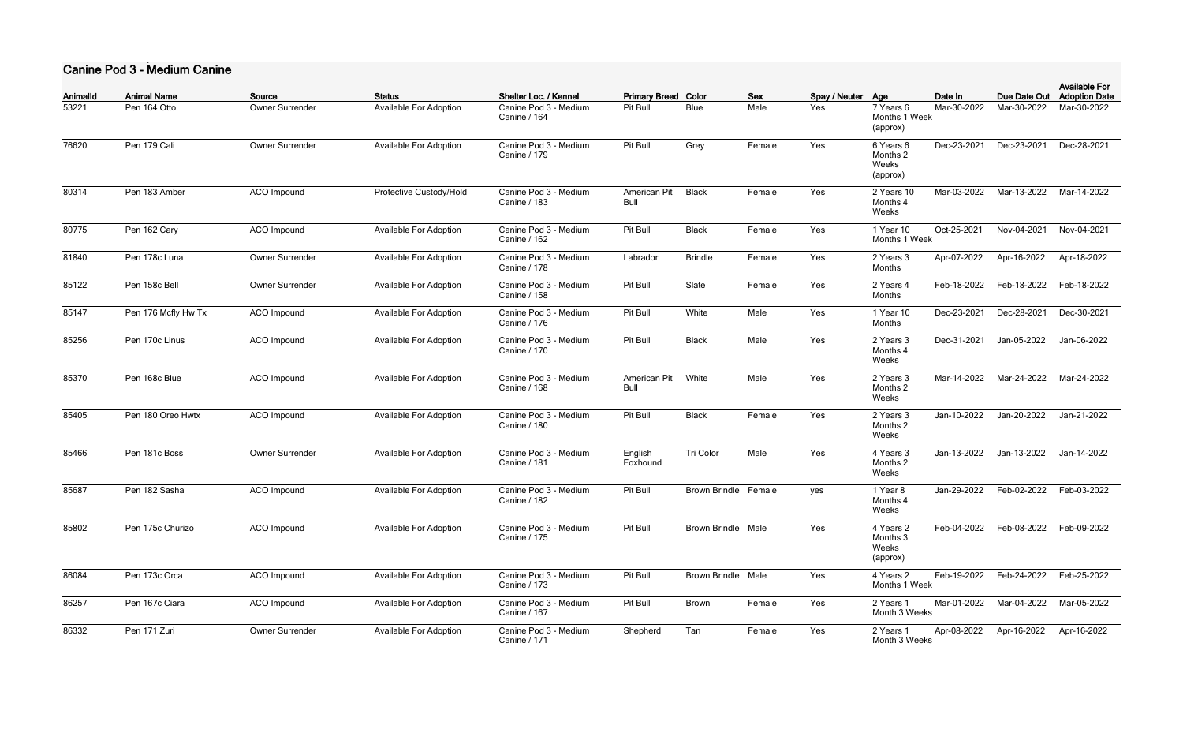### **Canine Pod 3 - Medium Canine**

| Animalld | <b>Animal Name</b>  | Source                 | <b>Status</b>                 | Shelter Loc. / Kennel                        | <b>Primary Breed Color</b>  |                           | <b>Sex</b> | Spay / Neuter Age |                                            | Date In     | Due Date Out | <b>Available For</b><br><b>Adoption Date</b> |
|----------|---------------------|------------------------|-------------------------------|----------------------------------------------|-----------------------------|---------------------------|------------|-------------------|--------------------------------------------|-------------|--------------|----------------------------------------------|
| 53221    | Pen 164 Otto        | <b>Owner Surrender</b> | <b>Available For Adoption</b> | Canine Pod 3 - Medium<br>Canine / 164        | Pit Bull                    | <b>Blue</b>               | Male       | Yes               | 7 Years 6<br>Months 1 Week<br>(approx)     | Mar-30-2022 | Mar-30-2022  | Mar-30-2022                                  |
| 76620    | Pen 179 Cali        | <b>Owner Surrender</b> | <b>Available For Adoption</b> | Canine Pod 3 - Medium<br>Canine / 179        | Pit Bull                    | Grey                      | Female     | Yes               | 6 Years 6<br>Months 2<br>Weeks<br>(approx) | Dec-23-2021 | Dec-23-2021  | Dec-28-2021                                  |
| 80314    | Pen 183 Amber       | ACO Impound            | Protective Custody/Hold       | Canine Pod 3 - Medium<br>Canine / 183        | American Pit<br><b>Bull</b> | <b>Black</b>              | Female     | Yes               | 2 Years 10<br>Months 4<br>Weeks            | Mar-03-2022 | Mar-13-2022  | Mar-14-2022                                  |
| 80775    | Pen 162 Cary        | ACO Impound            | <b>Available For Adoption</b> | Canine Pod 3 - Medium<br>Canine / 162        | Pit Bull                    | <b>Black</b>              | Female     | Yes               | 1 Year 10<br>Months 1 Week                 | Oct-25-2021 | Nov-04-2021  | Nov-04-2021                                  |
| 81840    | Pen 178c Luna       | <b>Owner Surrender</b> | <b>Available For Adoption</b> | Canine Pod 3 - Medium<br><b>Canine / 178</b> | Labrador                    | <b>Brindle</b>            | Female     | Yes               | 2 Years 3<br>Months                        | Apr-07-2022 | Apr-16-2022  | Apr-18-2022                                  |
| 85122    | Pen 158c Bell       | <b>Owner Surrender</b> | <b>Available For Adoption</b> | Canine Pod 3 - Medium<br>Canine / 158        | Pit Bull                    | Slate                     | Female     | Yes               | 2 Years 4<br>Months                        | Feb-18-2022 | Feb-18-2022  | Feb-18-2022                                  |
| 85147    | Pen 176 Mcfly Hw Tx | ACO Impound            | <b>Available For Adoption</b> | Canine Pod 3 - Medium<br>Canine / 176        | Pit Bull                    | White                     | Male       | Yes               | 1 Year 10<br>Months                        | Dec-23-2021 | Dec-28-2021  | Dec-30-2021                                  |
| 85256    | Pen 170c Linus      | ACO Impound            | <b>Available For Adoption</b> | Canine Pod 3 - Medium<br>Canine / 170        | Pit Bull                    | <b>Black</b>              | Male       | Yes               | 2 Years 3<br>Months 4<br>Weeks             | Dec-31-2021 | Jan-05-2022  | Jan-06-2022                                  |
| 85370    | Pen 168c Blue       | ACO Impound            | <b>Available For Adoption</b> | Canine Pod 3 - Medium<br>Canine / 168        | American Pit<br><b>Bull</b> | White                     | Male       | Yes               | 2 Years 3<br>Months 2<br>Weeks             | Mar-14-2022 | Mar-24-2022  | Mar-24-2022                                  |
| 85405    | Pen 180 Oreo Hwtx   | ACO Impound            | <b>Available For Adoption</b> | Canine Pod 3 - Medium<br>Canine / 180        | Pit Bull                    | <b>Black</b>              | Female     | Yes               | 2 Years 3<br>Months 2<br>Weeks             | Jan-10-2022 | Jan-20-2022  | Jan-21-2022                                  |
| 85466    | Pen 181c Boss       | <b>Owner Surrender</b> | <b>Available For Adoption</b> | Canine Pod 3 - Medium<br>Canine / 181        | English<br>Foxhound         | Tri Color                 | Male       | Yes               | 4 Years 3<br>Months 2<br>Weeks             | Jan-13-2022 | Jan-13-2022  | Jan-14-2022                                  |
| 85687    | Pen 182 Sasha       | <b>ACO</b> Impound     | <b>Available For Adoption</b> | Canine Pod 3 - Medium<br><b>Canine / 182</b> | Pit Bull                    | Brown Brindle Female      |            | yes               | 1 Year 8<br>Months 4<br>Weeks              | Jan-29-2022 | Feb-02-2022  | Feb-03-2022                                  |
| 85802    | Pen 175c Churizo    | ACO Impound            | <b>Available For Adoption</b> | Canine Pod 3 - Medium<br>Canine / 175        | Pit Bull                    | <b>Brown Brindle Male</b> |            | Yes               | 4 Years 2<br>Months 3<br>Weeks<br>(approx) | Feb-04-2022 | Feb-08-2022  | Feb-09-2022                                  |
| 86084    | Pen 173c Orca       | ACO Impound            | <b>Available For Adoption</b> | Canine Pod 3 - Medium<br><b>Canine / 173</b> | Pit Bull                    | <b>Brown Brindle Male</b> |            | Yes               | 4 Years 2<br>Months 1 Week                 | Feb-19-2022 | Feb-24-2022  | Feb-25-2022                                  |
| 86257    | Pen 167c Ciara      | ACO Impound            | <b>Available For Adoption</b> | Canine Pod 3 - Medium<br>Canine / 167        | Pit Bull                    | <b>Brown</b>              | Female     | Yes               | 2 Years 1<br>Month 3 Weeks                 | Mar-01-2022 | Mar-04-2022  | Mar-05-2022                                  |
| 86332    | Pen 171 Zuri        | Owner Surrender        | <b>Available For Adoption</b> | Canine Pod 3 - Medium<br>Canine / 171        | Shepherd                    | Tan                       | Female     | Yes               | 2 Years 1<br>Month 3 Weeks                 | Apr-08-2022 | Apr-16-2022  | Apr-16-2022                                  |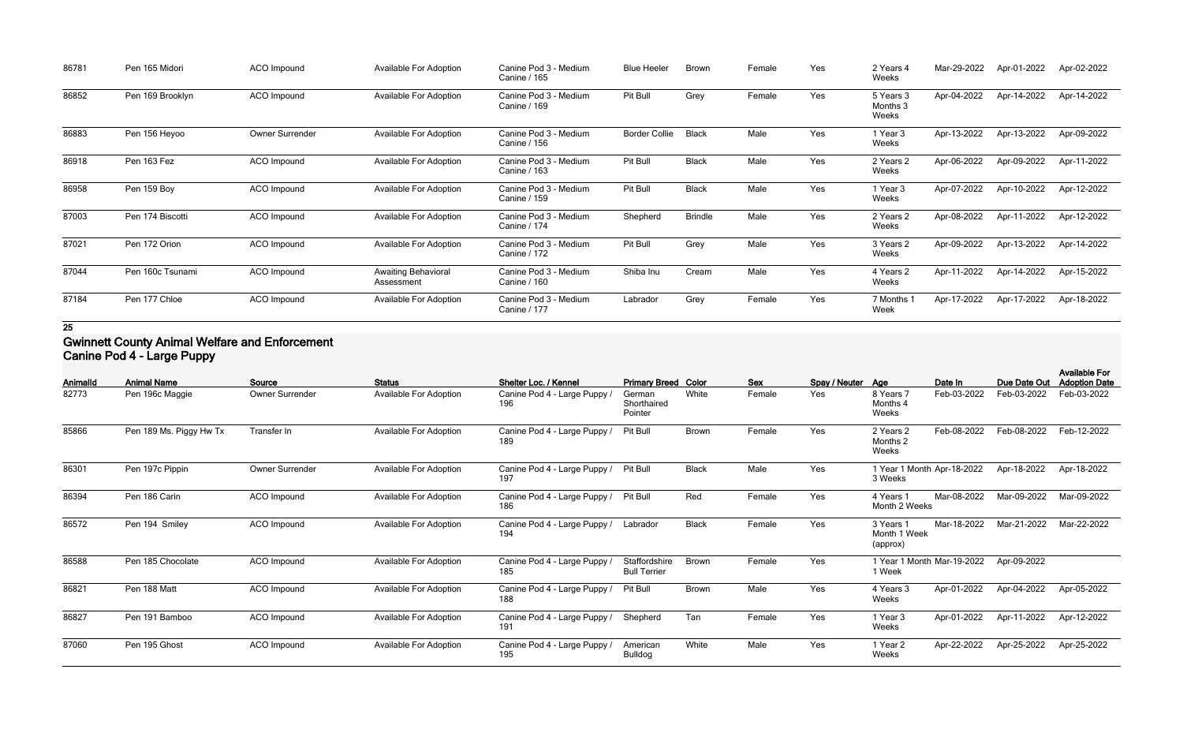| 86781 | Pen 165 Midori   | <b>ACO Impound</b> | <b>Available For Adoption</b>     | Canine Pod 3 - Medium<br>Canine / 165 | <b>Blue Heeler</b>   | <b>Brown</b>   | Female | Yes | 2 Years 4<br>Weeks             | Mar-29-2022 | Apr-01-2022 | Apr-02-2022 |
|-------|------------------|--------------------|-----------------------------------|---------------------------------------|----------------------|----------------|--------|-----|--------------------------------|-------------|-------------|-------------|
| 86852 | Pen 169 Brooklyn | ACO Impound        | Available For Adoption            | Canine Pod 3 - Medium<br>Canine / 169 | Pit Bull             | Grey           | Female | Yes | 5 Years 3<br>Months 3<br>Weeks | Apr-04-2022 | Apr-14-2022 | Apr-14-2022 |
| 86883 | Pen 156 Heyoo    | Owner Surrender    | Available For Adoption            | Canine Pod 3 - Medium<br>Canine / 156 | <b>Border Collie</b> | <b>Black</b>   | Male   | Yes | 1 Year 3<br>Weeks              | Apr-13-2022 | Apr-13-2022 | Apr-09-2022 |
| 86918 | Pen 163 Fez      | ACO Impound        | <b>Available For Adoption</b>     | Canine Pod 3 - Medium<br>Canine / 163 | Pit Bull             | <b>Black</b>   | Male   | Yes | 2 Years 2<br>Weeks             | Apr-06-2022 | Apr-09-2022 | Apr-11-2022 |
| 86958 | Pen 159 Boy      | ACO Impound        | <b>Available For Adoption</b>     | Canine Pod 3 - Medium<br>Canine / 159 | Pit Bull             | <b>Black</b>   | Male   | Yes | 1 Year 3<br>Weeks              | Apr-07-2022 | Apr-10-2022 | Apr-12-2022 |
| 87003 | Pen 174 Biscotti | ACO Impound        | <b>Available For Adoption</b>     | Canine Pod 3 - Medium<br>Canine / 174 | Shepherd             | <b>Brindle</b> | Male   | Yes | 2 Years 2<br>Weeks             | Apr-08-2022 | Apr-11-2022 | Apr-12-2022 |
| 87021 | Pen 172 Orion    | <b>ACO Impound</b> | <b>Available For Adoption</b>     | Canine Pod 3 - Medium<br>Canine / 172 | Pit Bull             | Grey           | Male   | Yes | 3 Years 2<br>Weeks             | Apr-09-2022 | Apr-13-2022 | Apr-14-2022 |
| 87044 | Pen 160c Tsunami | ACO Impound        | Awaiting Behavioral<br>Assessment | Canine Pod 3 - Medium<br>Canine / 160 | Shiba Inu            | Cream          | Male   | Yes | 4 Years 2<br>Weeks             | Apr-11-2022 | Apr-14-2022 | Apr-15-2022 |
| 87184 | Pen 177 Chloe    | ACO Impound        | <b>Available For Adoption</b>     | Canine Pod 3 - Medium<br>Canine / 177 | Labrador             | Grey           | Female | Yes | 7 Months<br>Week               | Apr-17-2022 | Apr-17-2022 | Apr-18-2022 |

## **Gwinnett County Animal Welfare and Enforcement Canine Pod 4 - Large Puppy**

| Animalld | <b>Animal Name</b>      | Source                 | <b>Status</b>                 | Shelter Loc. / Kennel               | <b>Primary Breed Color</b>           |              | <b>Sex</b> | Spay / Neuter Age |                                       | Date In     | Due Date Out | <b>Available For</b><br><b>Adoption Date</b> |
|----------|-------------------------|------------------------|-------------------------------|-------------------------------------|--------------------------------------|--------------|------------|-------------------|---------------------------------------|-------------|--------------|----------------------------------------------|
| 82773    | Pen 196c Maggie         | Owner Surrender        | <b>Available For Adoption</b> | Canine Pod 4 - Large Puppy /<br>196 | German<br>Shorthaired<br>Pointer     | White        | Female     | Yes               | 8 Years 7<br>Months 4<br>Weeks        | Feb-03-2022 | Feb-03-2022  | Feb-03-2022                                  |
| 85866    | Pen 189 Ms. Piggy Hw Tx | Transfer In            | <b>Available For Adoption</b> | Canine Pod 4 - Large Puppy<br>189   | Pit Bull                             | Brown        | Female     | Yes               | 2 Years 2<br>Months 2<br>Weeks        | Feb-08-2022 | Feb-08-2022  | Feb-12-2022                                  |
| 86301    | Pen 197c Pippin         | <b>Owner Surrender</b> | <b>Available For Adoption</b> | Canine Pod 4 - Large Puppy /<br>197 | Pit Bull                             | <b>Black</b> | Male       | Yes               | 1 Year 1 Month Apr-18-2022<br>3 Weeks |             | Apr-18-2022  | Apr-18-2022                                  |
| 86394    | Pen 186 Carin           | <b>ACO</b> Impound     | <b>Available For Adoption</b> | Canine Pod 4 - Large Puppy /<br>186 | Pit Bull                             | Red          | Female     | Yes               | 4 Years 1<br>Month 2 Weeks            | Mar-08-2022 | Mar-09-2022  | Mar-09-2022                                  |
| 86572    | Pen 194 Smiley          | ACO Impound            | <b>Available For Adoption</b> | Canine Pod 4 - Large Puppy /<br>194 | Labrador                             | <b>Black</b> | Female     | Yes               | 3 Years 1<br>Month 1 Week<br>(approx) | Mar-18-2022 | Mar-21-2022  | Mar-22-2022                                  |
| 86588    | Pen 185 Chocolate       | <b>ACO</b> Impound     | <b>Available For Adoption</b> | Canine Pod 4 - Large Puppy /<br>185 | Staffordshire<br><b>Bull Terrier</b> | <b>Brown</b> | Female     | Yes               | 1 Year 1 Month Mar-19-2022<br>1 Week  |             | Apr-09-2022  |                                              |
| 86821    | Pen 188 Matt            | ACO Impound            | <b>Available For Adoption</b> | Canine Pod 4 - Large Puppy /<br>188 | Pit Bull                             | Brown        | Male       | Yes               | 4 Years 3<br>Weeks                    | Apr-01-2022 | Apr-04-2022  | Apr-05-2022                                  |
| 86827    | Pen 191 Bamboo          | <b>ACO</b> Impound     | <b>Available For Adoption</b> | Canine Pod 4 - Large Puppy /<br>191 | Shepherd                             | Tan          | Female     | Yes               | 1 Year 3<br>Weeks                     | Apr-01-2022 | Apr-11-2022  | Apr-12-2022                                  |
| 87060    | Pen 195 Ghost           | ACO Impound            | <b>Available For Adoption</b> | Canine Pod 4 - Large Puppy /<br>195 | American<br><b>Bulldog</b>           | White        | Male       | Yes               | 1 Year 2<br>Weeks                     | Apr-22-2022 | Apr-25-2022  | Apr-25-2022                                  |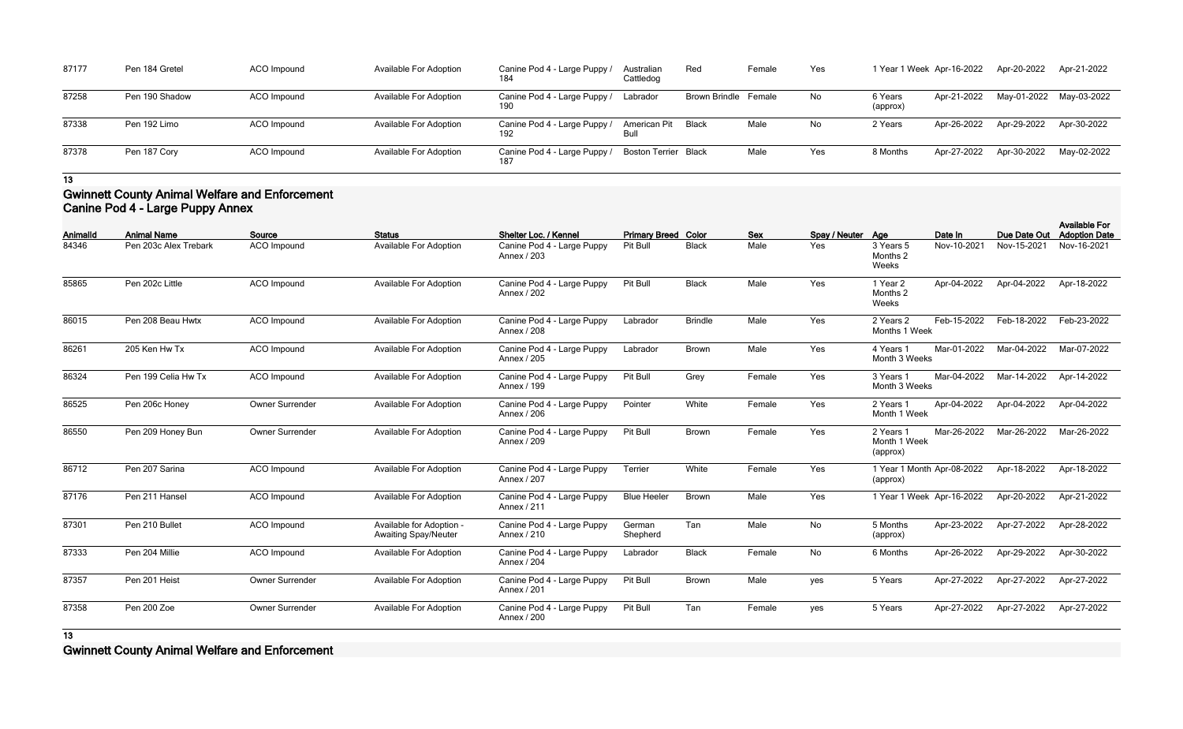| 87177 | Pen 184 Gretel | ACO Impound | <b>Available For Adoption</b> | Canine Pod 4 - Large Puppy<br>184   | Australian<br>Cattledog     | Red                  | Female | Yes | 1 Year i           |
|-------|----------------|-------------|-------------------------------|-------------------------------------|-----------------------------|----------------------|--------|-----|--------------------|
| 87258 | Pen 190 Shadow | ACO Impound | <b>Available For Adoption</b> | Canine Pod 4 - Large Puppy /<br>190 | Labrador                    | Brown Brindle Female |        | No  | 6 Years<br>(approx |
| 87338 | Pen 192 Limo   | ACO Impound | <b>Available For Adoption</b> | Canine Pod 4 - Large Puppy /<br>192 | <b>American Pit</b><br>Bull | <b>Black</b>         | Male   | No  | 2 Years            |
| 87378 | Pen 187 Cory   | ACO Impound | <b>Available For Adoption</b> | Canine Pod 4 - Large Puppy /<br>187 | <b>Boston Terrier Black</b> |                      | Male   | Yes | 8 Month            |

| Australian<br>Cattledog | Red                  | Female | Yes | 1 Year 1 Week Apr-16-2022 |             | Apr-20-2022 | Apr-21-2022 |
|-------------------------|----------------------|--------|-----|---------------------------|-------------|-------------|-------------|
| Labrador                | Brown Brindle Female |        | No  | 6 Years<br>(approx)       | Apr-21-2022 | May-01-2022 | May-03-2022 |
| American Pit<br>Bull    | <b>Black</b>         | Male   | No  | 2 Years                   | Apr-26-2022 | Apr-29-2022 | Apr-30-2022 |
| <b>Boston Terrier</b>   | <b>Black</b>         | Male   | Yes | 8 Months                  | Apr-27-2022 | Apr-30-2022 | May-02-2022 |

### **Gwinnett County Animal Welfare and Enforcement Canine Pod 4 - Large Puppy Annex**

| Animalld | <b>Animal Name</b>    | Source                 | <b>Status</b>                                           | Shelter Loc. / Kennel                     | <b>Primary Breed Color</b> |                | <b>Sex</b> | Spay / Neuter Age |                                        | Date In     | Due Date Out | <b>Available For</b><br><b>Adoption Date</b> |
|----------|-----------------------|------------------------|---------------------------------------------------------|-------------------------------------------|----------------------------|----------------|------------|-------------------|----------------------------------------|-------------|--------------|----------------------------------------------|
| 84346    | Pen 203c Alex Trebark | <b>ACO</b> Impound     | <b>Available For Adoption</b>                           | Canine Pod 4 - Large Puppy<br>Annex / 203 | Pit Bull                   | <b>Black</b>   | Male       | Yes               | 3 Years 5<br>Months 2<br>Weeks         | Nov-10-2021 | Nov-15-2021  | Nov-16-2021                                  |
| 85865    | Pen 202c Little       | <b>ACO</b> Impound     | <b>Available For Adoption</b>                           | Canine Pod 4 - Large Puppy<br>Annex / 202 | Pit Bull                   | <b>Black</b>   | Male       | Yes               | 1 Year 2<br>Months 2<br>Weeks          | Apr-04-2022 | Apr-04-2022  | Apr-18-2022                                  |
| 86015    | Pen 208 Beau Hwtx     | <b>ACO</b> Impound     | Available For Adoption                                  | Canine Pod 4 - Large Puppy<br>Annex / 208 | Labrador                   | <b>Brindle</b> | Male       | Yes               | 2 Years 2<br>Months 1 Week             | Feb-15-2022 | Feb-18-2022  | Feb-23-2022                                  |
| 86261    | 205 Ken Hw Tx         | <b>ACO</b> Impound     | <b>Available For Adoption</b>                           | Canine Pod 4 - Large Puppy<br>Annex / 205 | Labrador                   | Brown          | Male       | Yes               | 4 Years 1<br>Month 3 Weeks             | Mar-01-2022 | Mar-04-2022  | Mar-07-2022                                  |
| 86324    | Pen 199 Celia Hw Tx   | ACO Impound            | <b>Available For Adoption</b>                           | Canine Pod 4 - Large Puppy<br>Annex / 199 | Pit Bull                   | Grey           | Female     | Yes               | 3 Years 1<br>Month 3 Weeks             | Mar-04-2022 | Mar-14-2022  | Apr-14-2022                                  |
| 86525    | Pen 206c Honey        | Owner Surrender        | Available For Adoption                                  | Canine Pod 4 - Large Puppy<br>Annex / 206 | Pointer                    | White          | Female     | Yes               | 2 Years 1<br>Month 1 Week              | Apr-04-2022 | Apr-04-2022  | Apr-04-2022                                  |
| 86550    | Pen 209 Honey Bun     | Owner Surrender        | <b>Available For Adoption</b>                           | Canine Pod 4 - Large Puppy<br>Annex / 209 | Pit Bull                   | Brown          | Female     | Yes               | 2 Years 1<br>Month 1 Week<br>(approx)  | Mar-26-2022 | Mar-26-2022  | Mar-26-2022                                  |
| 86712    | Pen 207 Sarina        | ACO Impound            | <b>Available For Adoption</b>                           | Canine Pod 4 - Large Puppy<br>Annex / 207 | Terrier                    | White          | Female     | Yes               | 1 Year 1 Month Apr-08-2022<br>(approx) |             | Apr-18-2022  | Apr-18-2022                                  |
| 87176    | Pen 211 Hansel        | <b>ACO</b> Impound     | <b>Available For Adoption</b>                           | Canine Pod 4 - Large Puppy<br>Annex / 211 | <b>Blue Heeler</b>         | Brown          | Male       | Yes               | 1 Year 1 Week Apr-16-2022              |             | Apr-20-2022  | Apr-21-2022                                  |
| 87301    | Pen 210 Bullet        | ACO Impound            | Available for Adoption -<br><b>Awaiting Spay/Neuter</b> | Canine Pod 4 - Large Puppy<br>Annex / 210 | German<br>Shepherd         | Tan            | Male       | No                | 5 Months<br>(approx)                   | Apr-23-2022 | Apr-27-2022  | Apr-28-2022                                  |
| 87333    | Pen 204 Millie        | ACO Impound            | Available For Adoption                                  | Canine Pod 4 - Large Puppy<br>Annex / 204 | Labrador                   | <b>Black</b>   | Female     | No                | 6 Months                               | Apr-26-2022 | Apr-29-2022  | Apr-30-2022                                  |
| 87357    | Pen 201 Heist         | <b>Owner Surrender</b> | <b>Available For Adoption</b>                           | Canine Pod 4 - Large Puppy<br>Annex / 201 | Pit Bull                   | Brown          | Male       | yes               | 5 Years                                | Apr-27-2022 | Apr-27-2022  | Apr-27-2022                                  |
| 87358    | Pen 200 Zoe           | <b>Owner Surrender</b> | <b>Available For Adoption</b>                           | Canine Pod 4 - Large Puppy<br>Annex / 200 | Pit Bull                   | Tan            | Female     | yes               | 5 Years                                | Apr-27-2022 | Apr-27-2022  | Apr-27-2022                                  |
| 13       |                       |                        |                                                         |                                           |                            |                |            |                   |                                        |             |              |                                              |

**Gwinnett County Animal Welfare and Enforcement**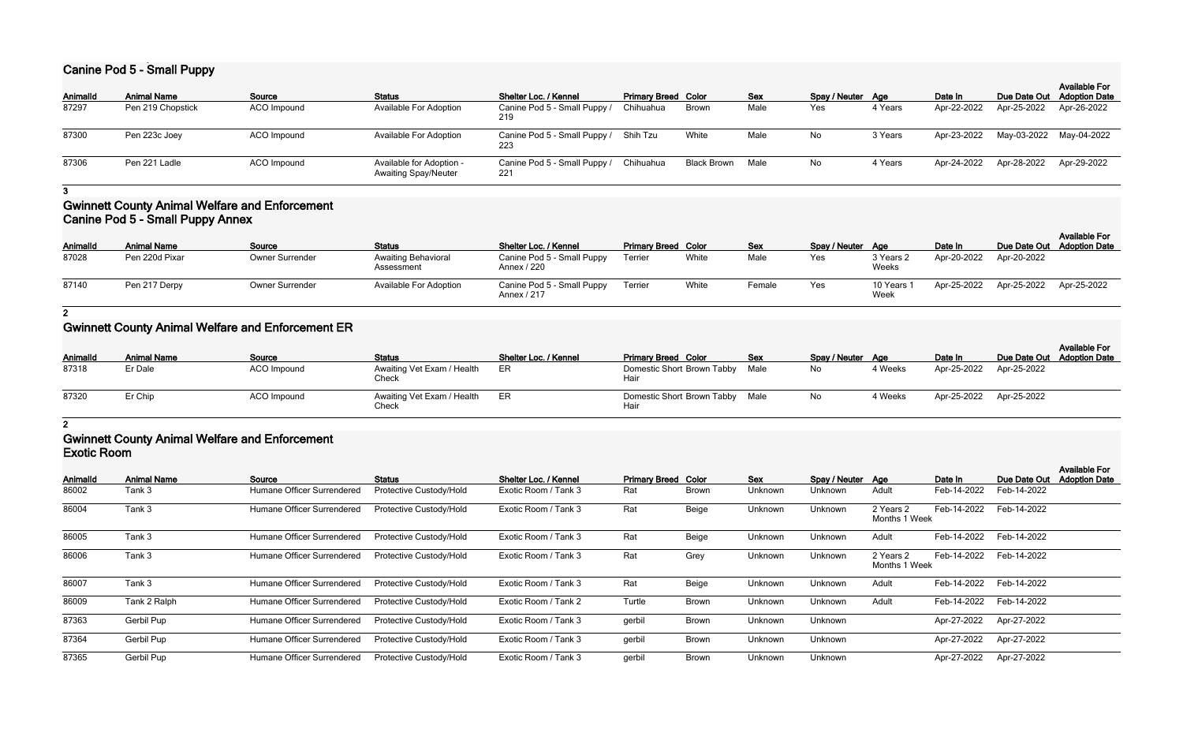# **Canine Pod 5 - Small Puppy**

| <b>Animal Name</b> | Source      | <b>Status</b>                                           | <b>Shelter Loc. / Kennel</b>        |           |                                                                                 | <b>Sex</b>                 |                         |         | Date In           | Due Date Out Adoption Date | <b>Available For</b>                   |
|--------------------|-------------|---------------------------------------------------------|-------------------------------------|-----------|---------------------------------------------------------------------------------|----------------------------|-------------------------|---------|-------------------|----------------------------|----------------------------------------|
| Pen 219 Chopstick  | ACO Impound | <b>Available For Adoption</b>                           | Canine Pod 5 - Small Puppy /<br>219 | Chihuahua | <b>Brown</b>                                                                    | Male                       | Yes                     | 4 Years | Apr-22-2022       | Apr-25-2022                | Apr-26-2022                            |
| Pen 223c Joey      | ACO Impound | <b>Available For Adoption</b>                           |                                     |           | White                                                                           | Male                       | No                      | 3 Years | Apr-23-2022       |                            |                                        |
| Pen 221 Ladle      | ACO Impound | Available for Adoption -<br><b>Awaiting Spay/Neuter</b> | 221                                 |           |                                                                                 |                            | No                      | 4 Years | Apr-24-2022       |                            | Apr-29-2022                            |
|                    |             |                                                         |                                     |           | Canine Pod 5 - Small Puppy / Shih Tzu<br>Canine Pod 5 - Small Puppy / Chihuahua | <b>Primary Breed Color</b> | <b>Black Brown Male</b> |         | Spay / Neuter Age |                            | May-03-2022 May-04-2022<br>Apr-28-2022 |

**3**

## **Gwinnett County Animal Welfare and Enforcement Canine Pod 5 - Small Puppy Annex**

| Animalld | <b>Animal Name</b> | Source                 | <b>Status</b>                            | <b>Shelter Loc. / Kennel</b>              | <b>Primary Breed Color</b> |       | Sex    | Spay / Neuter Age |                    | Date In     | Due Date Out Adoption Date | <b>Available For</b> |
|----------|--------------------|------------------------|------------------------------------------|-------------------------------------------|----------------------------|-------|--------|-------------------|--------------------|-------------|----------------------------|----------------------|
| 87028    | Pen 220d Pixar     | <b>Owner Surrender</b> | <b>Awaiting Behavioral</b><br>Assessment | Canine Pod 5 - Small Puppy<br>Annex / 220 | Terrier                    | White | Male   | Yes               | 3 Years 2<br>Weeks | Apr-20-2022 | Apr-20-2022                |                      |
| 87140    | Pen 217 Derpy      | Owner Surrender        | Available For Adoption                   | Canine Pod 5 - Small Puppy<br>Annex / 217 | Terrier                    | White | Female | Yes               | 10 Years<br>Week   | Apr-25-2022 | Apr-25-2022                | Apr-25-2022          |

**2**

# **Gwinnett County Animal Welfare and Enforcement ER**

| Animalld | <b>Animal Name</b> | Source      | <b>Status</b>                       | <b>Shelter Loc. / Kennel</b> | <b>Primary Breed Color</b>              | <b>Sex</b> | Spay / Neuter Age |         | Date In                 | Due Date Out Adoption Date | <b>Available For</b> |
|----------|--------------------|-------------|-------------------------------------|------------------------------|-----------------------------------------|------------|-------------------|---------|-------------------------|----------------------------|----------------------|
| 87318    | Er Dale            | ACO Impound | Awaiting Vet Exam / Health<br>Check | ER                           | Domestic Short Brown Tabby Male<br>Hair |            | No                | 4 Weeks | Apr-25-2022             | Apr-25-2022                |                      |
| 87320    | Er Chip            | ACO Impound | Awaiting Vet Exam / Health<br>Check | ER.                          | Domestic Short Brown Tabby Male<br>Hair |            | No.               | 4 Weeks | Apr-25-2022 Apr-25-2022 |                            |                      |

**2**

### **Gwinnett County Animal Welfare and Enforcement Exotic Room**

| LAUUU I IUUIII  |                    |                            |                         |                       |                            |              |            |                   |                            |             |              |                                              |
|-----------------|--------------------|----------------------------|-------------------------|-----------------------|----------------------------|--------------|------------|-------------------|----------------------------|-------------|--------------|----------------------------------------------|
| <b>AnimalId</b> | <b>Animal Name</b> | Source                     | <b>Status</b>           | Shelter Loc. / Kennel | <b>Primary Breed Color</b> |              | <b>Sex</b> | Spay / Neuter Age |                            | Date In     | Due Date Out | <b>Available For</b><br><b>Adoption Date</b> |
| 86002           | Tank 3             | Humane Officer Surrendered | Protective Custody/Hold | Exotic Room / Tank 3  | Rat                        | <b>Brown</b> | Unknown    | Unknown           | Adult                      | Feb-14-2022 | Feb-14-2022  |                                              |
| 86004           | Tank 3             | Humane Officer Surrendered | Protective Custody/Hold | Exotic Room / Tank 3  | Rat                        | Beige        | Unknown    | Unknown           | 2 Years 2<br>Months 1 Week | Feb-14-2022 | Feb-14-2022  |                                              |
| 86005           | Tank 3             | Humane Officer Surrendered | Protective Custody/Hold | Exotic Room / Tank 3  | Rat                        | Beige        | Unknown    | Unknown           | Adult                      | Feb-14-2022 | Feb-14-2022  |                                              |
| 86006           | Tank 3             | Humane Officer Surrendered | Protective Custody/Hold | Exotic Room / Tank 3  | Rat                        | Grey         | Unknown    | Unknown           | 2 Years 2<br>Months 1 Week | Feb-14-2022 | Feb-14-2022  |                                              |
| 86007           | Tank 3             | Humane Officer Surrendered | Protective Custody/Hold | Exotic Room / Tank 3  | Rat                        | Beige        | Unknown    | Unknown           | Adult                      | Feb-14-2022 | Feb-14-2022  |                                              |
| 86009           | Tank 2 Ralph       | Humane Officer Surrendered | Protective Custody/Hold | Exotic Room / Tank 2  | Turtle                     | <b>Brown</b> | Unknown    | Unknown           | Adult                      | Feb-14-2022 | Feb-14-2022  |                                              |
| 87363           | Gerbil Pup         | Humane Officer Surrendered | Protective Custody/Hold | Exotic Room / Tank 3  | gerbil                     | <b>Brown</b> | Unknown    | Unknown           |                            | Apr-27-2022 | Apr-27-2022  |                                              |
| 87364           | Gerbil Pup         | Humane Officer Surrendered | Protective Custody/Hold | Exotic Room / Tank 3  | gerbil                     | <b>Brown</b> | Unknown    | Unknown           |                            | Apr-27-2022 | Apr-27-2022  |                                              |
| 87365           | Gerbil Pup         | Humane Officer Surrendered | Protective Custody/Hold | Exotic Room / Tank 3  | gerbil                     | <b>Brown</b> | Unknown    | Unknown           |                            | Apr-27-2022 | Apr-27-2022  |                                              |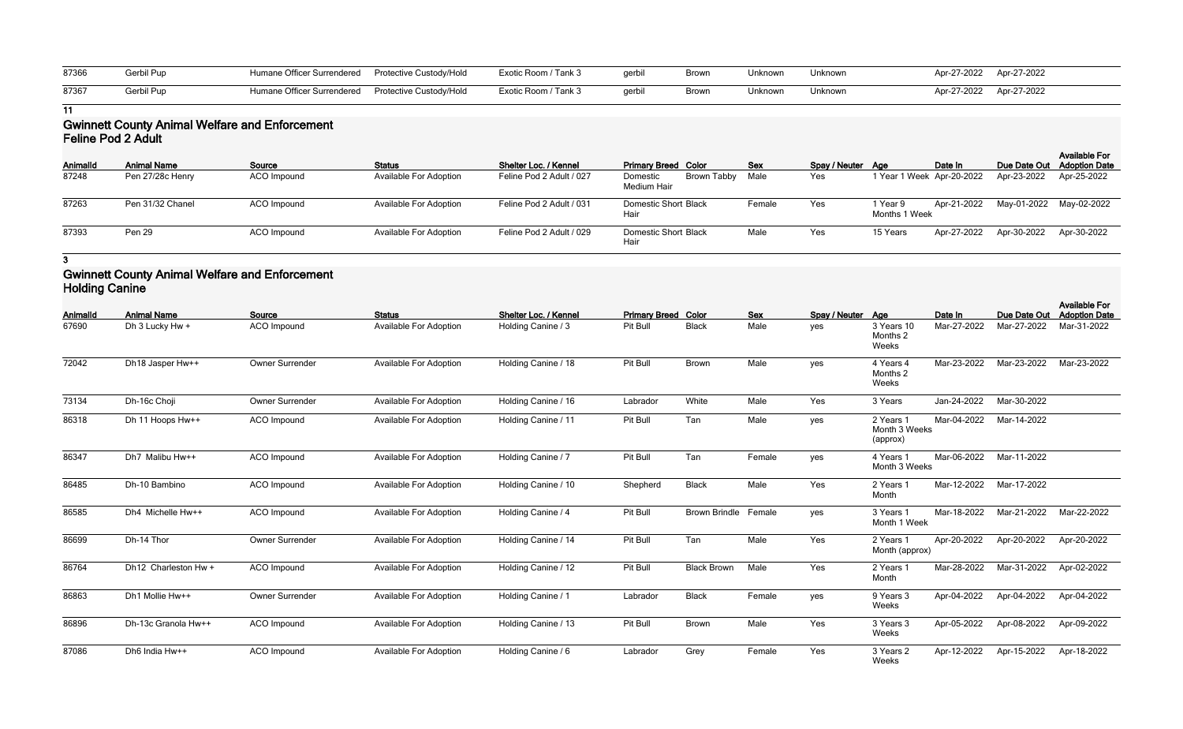| 87366 | Gerbil Pup | Humane Officer Surrendered  Protective Custody/Hold | Exotic Room / Tank 3 | gerbil | Brown | Unknown | Unknown | Apr-27-2022 Apr-27-2022 |  |
|-------|------------|-----------------------------------------------------|----------------------|--------|-------|---------|---------|-------------------------|--|
| 87367 | Gerbil Pup | Humane Officer Surrendered  Protective Custody/Hold | Exotic Room / Tank 3 | gerbil | Brown | Unknown | Unknown | Apr-27-2022 Apr-27-2022 |  |

### **Gwinnett County Animal Welfare and Enforcement Feline Pod 2 Adult**

| Animalld | <b>Animal Name</b> | Source      | <b>Status</b>                 | Shelter Loc. / Kennel    | <b>Primary Breed Color</b>             | <b>Sex</b> | Spay / Neuter Age |                           | Date In     |                         | <b>Available For</b><br>Due Date Out Adoption Date |
|----------|--------------------|-------------|-------------------------------|--------------------------|----------------------------------------|------------|-------------------|---------------------------|-------------|-------------------------|----------------------------------------------------|
| 87248    | Pen 27/28c Henry   | ACO Impound | <b>Available For Adoption</b> | Feline Pod 2 Adult / 027 | Brown Tabby<br>Domestic<br>Medium Hair | Male       | Yes               | 1 Year 1 Week Apr-20-2022 |             | Apr-23-2022             | Apr-25-2022                                        |
| 87263    | Pen 31/32 Chanel   | ACO Impound | Available For Adoption        | Feline Pod 2 Adult / 031 | <b>Domestic Short Black</b><br>Hair    | Female     | Yes               | 1 Year 9<br>Months 1 Week | Apr-21-2022 | May-01-2022 May-02-2022 |                                                    |
| 87393    | Pen 29             | ACO Impound | <b>Available For Adoption</b> | Feline Pod 2 Adult / 029 | <b>Domestic Short Black</b><br>Hair    | Male       | Yes               | 15 Years                  | Apr-27-2022 | Apr-30-2022             | Apr-30-2022                                        |

**3**

## **Gwinnett County Animal Welfare and Enforcement Holding Canine**

| Animalld | <b>Animal Name</b>   | Source                 | <b>Status</b>                 | Shelter Loc. / Kennel | <b>Primary Breed Color</b> |                      | <b>Sex</b> | Spay / Neuter Age |                                        | Date In     | Due Date Out | <b>Available For</b><br><b>Adoption Date</b> |
|----------|----------------------|------------------------|-------------------------------|-----------------------|----------------------------|----------------------|------------|-------------------|----------------------------------------|-------------|--------------|----------------------------------------------|
| 67690    | Dh 3 Lucky Hw +      | <b>ACO</b> Impound     | <b>Available For Adoption</b> | Holding Canine / 3    | Pit Bull                   | <b>Black</b>         | Male       | yes               | 3 Years 10<br>Months 2<br>Weeks        | Mar-27-2022 | Mar-27-2022  | Mar-31-2022                                  |
| 72042    | Dh18 Jasper Hw++     | <b>Owner Surrender</b> | <b>Available For Adoption</b> | Holding Canine / 18   | Pit Bull                   | Brown                | Male       | yes               | 4 Years 4<br>Months 2<br>Weeks         | Mar-23-2022 | Mar-23-2022  | Mar-23-2022                                  |
| 73134    | Dh-16c Choji         | Owner Surrender        | <b>Available For Adoption</b> | Holding Canine / 16   | Labrador                   | White                | Male       | Yes               | 3 Years                                | Jan-24-2022 | Mar-30-2022  |                                              |
| 86318    | Dh 11 Hoops Hw++     | ACO Impound            | <b>Available For Adoption</b> | Holding Canine / 11   | Pit Bull                   | Tan                  | Male       | yes               | 2 Years 1<br>Month 3 Weeks<br>(approx) | Mar-04-2022 | Mar-14-2022  |                                              |
| 86347    | Dh7 Malibu Hw++      | ACO Impound            | <b>Available For Adoption</b> | Holding Canine / 7    | Pit Bull                   | Tan                  | Female     | yes               | 4 Years 1<br>Month 3 Weeks             | Mar-06-2022 | Mar-11-2022  |                                              |
| 86485    | Dh-10 Bambino        | ACO Impound            | <b>Available For Adoption</b> | Holding Canine / 10   | Shepherd                   | <b>Black</b>         | Male       | Yes               | 2 Years 1<br>Month                     | Mar-12-2022 | Mar-17-2022  |                                              |
| 86585    | Dh4 Michelle Hw++    | <b>ACO</b> Impound     | <b>Available For Adoption</b> | Holding Canine / 4    | Pit Bull                   | Brown Brindle Female |            | yes               | 3 Years 1<br>Month 1 Week              | Mar-18-2022 | Mar-21-2022  | Mar-22-2022                                  |
| 86699    | Dh-14 Thor           | Owner Surrender        | <b>Available For Adoption</b> | Holding Canine / 14   | Pit Bull                   | Tan                  | Male       | Yes               | 2 Years 1<br>Month (approx)            | Apr-20-2022 | Apr-20-2022  | Apr-20-2022                                  |
| 86764    | Dh12 Charleston Hw + | ACO Impound            | <b>Available For Adoption</b> | Holding Canine / 12   | Pit Bull                   | <b>Black Brown</b>   | Male       | Yes               | 2 Years 1<br>Month                     | Mar-28-2022 | Mar-31-2022  | Apr-02-2022                                  |
| 86863    | Dh1 Mollie Hw++      | Owner Surrender        | <b>Available For Adoption</b> | Holding Canine / 1    | Labrador                   | <b>Black</b>         | Female     | yes               | 9 Years 3<br>Weeks                     | Apr-04-2022 | Apr-04-2022  | Apr-04-2022                                  |
| 86896    | Dh-13c Granola Hw++  | ACO Impound            | <b>Available For Adoption</b> | Holding Canine / 13   | Pit Bull                   | Brown                | Male       | Yes               | 3 Years 3<br>Weeks                     | Apr-05-2022 | Apr-08-2022  | Apr-09-2022                                  |
| 87086    | Dh6 India Hw++       | ACO Impound            | <b>Available For Adoption</b> | Holding Canine / 6    | Labrador                   | Grey                 | Female     | Yes               | 3 Years 2<br>Weeks                     | Apr-12-2022 | Apr-15-2022  | Apr-18-2022                                  |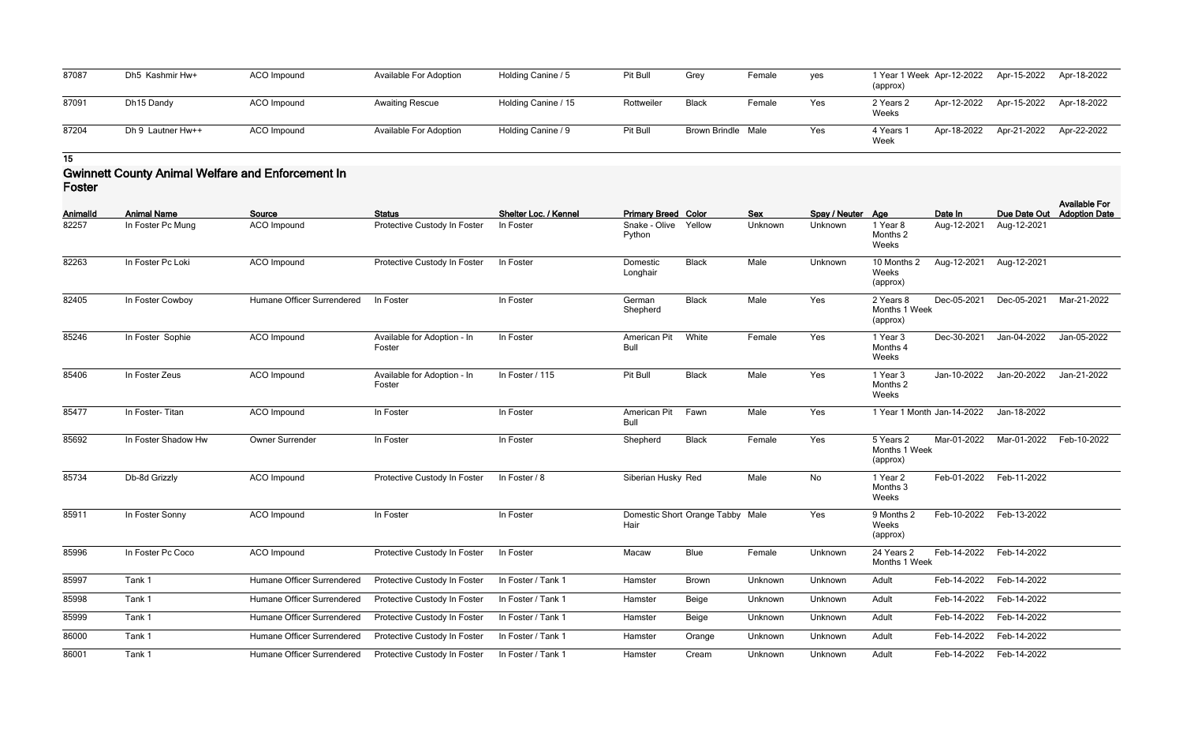| 87087 | Dh5 Kashmir Hw+   | ACO Impound | Available For Adoption        | Holding Canine / 5  | Pit Bull   | Grey               | Female | yes | 1 Year 1 Week Apr-12-2022<br>(approx) | Apr-15-2022 | Apr-18-2022 |
|-------|-------------------|-------------|-------------------------------|---------------------|------------|--------------------|--------|-----|---------------------------------------|-------------|-------------|
| 87091 | Dh15 Dandy        | ACO Impound | <b>Awaiting Rescue</b>        | Holding Canine / 15 | Rottweiler | <b>Black</b>       | Female | Yes | Apr-12-2022<br>2 Years 2<br>Weeks     | Apr-15-2022 | Apr-18-2022 |
| 87204 | Dh 9 Lautner Hw++ | ACO Impound | <b>Available For Adoption</b> | Holding Canine / 9  | Pit Bull   | Brown Brindle Male |        | Yes | Apr-18-2022<br>4 Years 1<br>Week      | Apr-21-2022 | Apr-22-2022 |

### **Gwinnett County Animal Welfare and Enforcement In Foster**

| Animalld | <b>Animal Name</b>  | Source                     | <b>Status</b>                         | Shelter Loc. / Kennel | <b>Primary Breed Color</b>  |                                  | Sex     | Spay / Neuter Age |                                        | Date In     | Due Date Out | <b>Available For</b><br><b>Adoption Date</b> |
|----------|---------------------|----------------------------|---------------------------------------|-----------------------|-----------------------------|----------------------------------|---------|-------------------|----------------------------------------|-------------|--------------|----------------------------------------------|
| 82257    | In Foster Pc Mung   | ACO Impound                | Protective Custody In Foster          | In Foster             | Snake - Olive<br>Python     | Yellow                           | Unknown | Unknown           | 1 Year 8<br>Months 2<br>Weeks          | Aug-12-2021 | Aug-12-2021  |                                              |
| 82263    | In Foster Pc Loki   | ACO Impound                | Protective Custody In Foster          | In Foster             | Domestic<br>Longhair        | <b>Black</b>                     | Male    | Unknown           | 10 Months 2<br>Weeks<br>(approx)       | Aug-12-2021 | Aug-12-2021  |                                              |
| 82405    | In Foster Cowboy    | Humane Officer Surrendered | In Foster                             | In Foster             | German<br>Shepherd          | <b>Black</b>                     | Male    | Yes               | 2 Years 8<br>Months 1 Week<br>(approx) | Dec-05-2021 | Dec-05-2021  | Mar-21-2022                                  |
| 85246    | In Foster Sophie    | <b>ACO</b> Impound         | Available for Adoption - In<br>Foster | In Foster             | American Pit<br><b>Bull</b> | White                            | Female  | Yes               | 1 Year 3<br>Months 4<br>Weeks          | Dec-30-2021 | Jan-04-2022  | Jan-05-2022                                  |
| 85406    | In Foster Zeus      | ACO Impound                | Available for Adoption - In<br>Foster | In Foster / 115       | Pit Bull                    | <b>Black</b>                     | Male    | Yes               | 1 Year 3<br>Months 2<br>Weeks          | Jan-10-2022 | Jan-20-2022  | Jan-21-2022                                  |
| 85477    | In Foster-Titan     | ACO Impound                | In Foster                             | In Foster             | American Pit<br>Bull        | Fawn                             | Male    | Yes               | 1 Year 1 Month Jan-14-2022             |             | Jan-18-2022  |                                              |
| 85692    | In Foster Shadow Hw | Owner Surrender            | In Foster                             | In Foster             | Shepherd                    | <b>Black</b>                     | Female  | Yes               | 5 Years 2<br>Months 1 Week<br>(approx) | Mar-01-2022 | Mar-01-2022  | Feb-10-2022                                  |
| 85734    | Db-8d Grizzly       | ACO Impound                | Protective Custody In Foster          | In Foster / 8         | Siberian Husky Red          |                                  | Male    | No                | 1 Year 2<br>Months 3<br>Weeks          | Feb-01-2022 | Feb-11-2022  |                                              |
| 85911    | In Foster Sonny     | ACO Impound                | In Foster                             | In Foster             | Hair                        | Domestic Short Orange Tabby Male |         | Yes               | 9 Months 2<br>Weeks<br>(approx)        | Feb-10-2022 | Feb-13-2022  |                                              |
| 85996    | In Foster Pc Coco   | ACO Impound                | Protective Custody In Foster          | In Foster             | Macaw                       | <b>Blue</b>                      | Female  | Unknown           | 24 Years 2<br>Months 1 Week            | Feb-14-2022 | Feb-14-2022  |                                              |
| 85997    | Tank 1              | Humane Officer Surrendered | Protective Custody In Foster          | In Foster / Tank 1    | Hamster                     | <b>Brown</b>                     | Unknown | Unknown           | Adult                                  | Feb-14-2022 | Feb-14-2022  |                                              |
| 85998    | Tank 1              | Humane Officer Surrendered | Protective Custody In Foster          | In Foster / Tank 1    | Hamster                     | Beige                            | Unknown | Unknown           | Adult                                  | Feb-14-2022 | Feb-14-2022  |                                              |
| 85999    | Tank 1              | Humane Officer Surrendered | Protective Custody In Foster          | In Foster / Tank 1    | Hamster                     | Beige                            | Unknown | Unknown           | Adult                                  | Feb-14-2022 | Feb-14-2022  |                                              |
| 86000    | Tank 1              | Humane Officer Surrendered | Protective Custody In Foster          | In Foster / Tank 1    | Hamster                     | Orange                           | Unknown | Unknown           | Adult                                  | Feb-14-2022 | Feb-14-2022  |                                              |
| 86001    | Tank 1              | Humane Officer Surrendered | Protective Custody In Foster          | In Foster / Tank 1    | Hamster                     | Cream                            | Unknown | Unknown           | Adult                                  | Feb-14-2022 | Feb-14-2022  |                                              |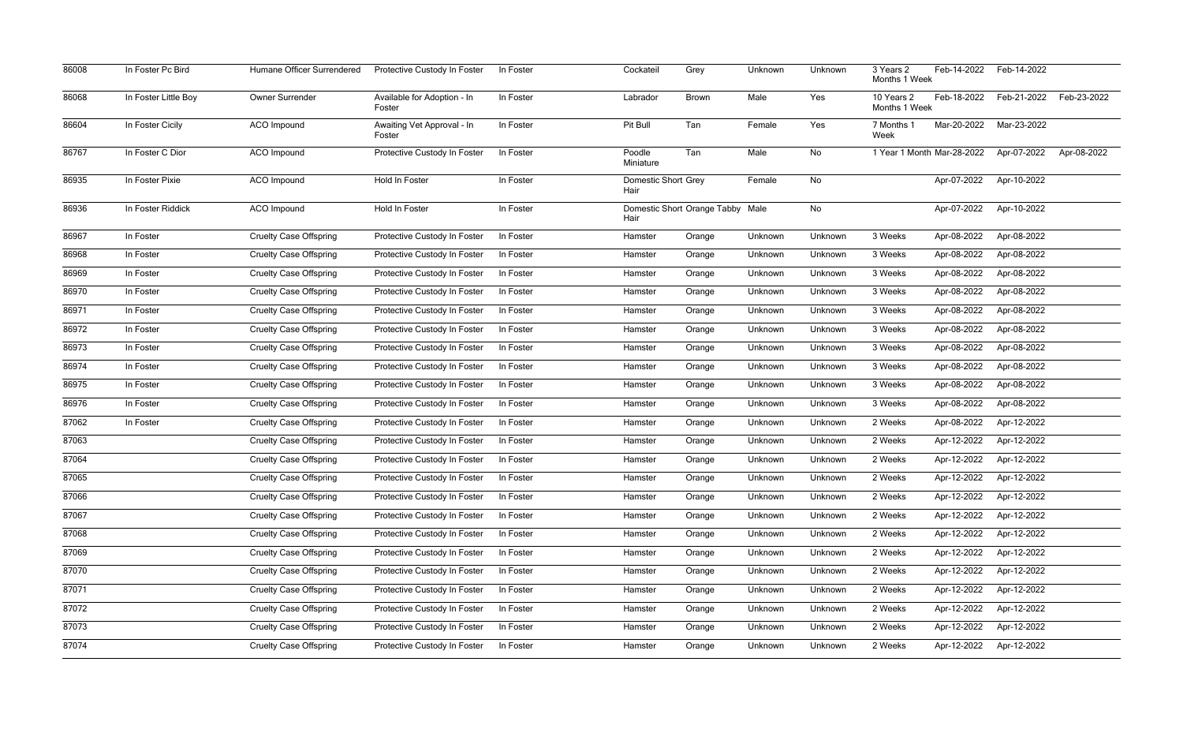| 86008 | In Foster Pc Bird    | Humane Officer Surrendered    | Protective Custody In Foster          | In Foster | Cockateil                          | Grey                             | Unknown | Unknown | 3 Years 2<br>Months 1 Week  | Feb-14-2022                | Feb-14-2022 |             |
|-------|----------------------|-------------------------------|---------------------------------------|-----------|------------------------------------|----------------------------------|---------|---------|-----------------------------|----------------------------|-------------|-------------|
| 86068 | In Foster Little Boy | Owner Surrender               | Available for Adoption - In<br>Foster | In Foster | Labrador                           | Brown                            | Male    | Yes     | 10 Years 2<br>Months 1 Week | Feb-18-2022                | Feb-21-2022 | Feb-23-2022 |
| 86604 | In Foster Cicily     | <b>ACO</b> Impound            | Awaiting Vet Approval - In<br>Foster  | In Foster | Pit Bull                           | Tan                              | Female  | Yes     | 7 Months 1<br>Week          | Mar-20-2022                | Mar-23-2022 |             |
| 86767 | In Foster C Dior     | <b>ACO</b> Impound            | Protective Custody In Foster          | In Foster | Poodle<br>Miniature                | Tan                              | Male    | No      |                             | 1 Year 1 Month Mar-28-2022 | Apr-07-2022 | Apr-08-2022 |
| 86935 | In Foster Pixie      | <b>ACO</b> Impound            | Hold In Foster                        | In Foster | <b>Domestic Short Grey</b><br>Hair |                                  | Female  | No      |                             | Apr-07-2022                | Apr-10-2022 |             |
| 86936 | In Foster Riddick    | ACO Impound                   | Hold In Foster                        | In Foster | Hair                               | Domestic Short Orange Tabby Male |         | No      |                             | Apr-07-2022                | Apr-10-2022 |             |
| 86967 | In Foster            | <b>Cruelty Case Offspring</b> | Protective Custody In Foster          | In Foster | Hamster                            | Orange                           | Unknown | Unknown | 3 Weeks                     | Apr-08-2022                | Apr-08-2022 |             |
| 86968 | In Foster            | <b>Cruelty Case Offspring</b> | Protective Custody In Foster          | In Foster | Hamster                            | Orange                           | Unknown | Unknown | 3 Weeks                     | Apr-08-2022                | Apr-08-2022 |             |
| 86969 | In Foster            | <b>Cruelty Case Offspring</b> | Protective Custody In Foster          | In Foster | Hamster                            | Orange                           | Unknown | Unknown | 3 Weeks                     | Apr-08-2022                | Apr-08-2022 |             |
| 86970 | In Foster            | <b>Cruelty Case Offspring</b> | Protective Custody In Foster          | In Foster | Hamster                            | Orange                           | Unknown | Unknown | 3 Weeks                     | Apr-08-2022                | Apr-08-2022 |             |
| 86971 | In Foster            | <b>Cruelty Case Offspring</b> | Protective Custody In Foster          | In Foster | Hamster                            | Orange                           | Unknown | Unknown | 3 Weeks                     | Apr-08-2022                | Apr-08-2022 |             |
| 86972 | In Foster            | <b>Cruelty Case Offspring</b> | Protective Custody In Foster          | In Foster | Hamster                            | Orange                           | Unknown | Unknown | 3 Weeks                     | Apr-08-2022                | Apr-08-2022 |             |
| 86973 | In Foster            | <b>Cruelty Case Offspring</b> | Protective Custody In Foster          | In Foster | Hamster                            | Orange                           | Unknown | Unknown | 3 Weeks                     | Apr-08-2022                | Apr-08-2022 |             |
| 86974 | In Foster            | <b>Cruelty Case Offspring</b> | Protective Custody In Foster          | In Foster | Hamster                            | Orange                           | Unknown | Unknown | 3 Weeks                     | Apr-08-2022                | Apr-08-2022 |             |
| 86975 | In Foster            | <b>Cruelty Case Offspring</b> | Protective Custody In Foster          | In Foster | Hamster                            | Orange                           | Unknown | Unknown | 3 Weeks                     | Apr-08-2022                | Apr-08-2022 |             |
| 86976 | In Foster            | <b>Cruelty Case Offspring</b> | Protective Custody In Foster          | In Foster | Hamster                            | Orange                           | Unknown | Unknown | 3 Weeks                     | Apr-08-2022                | Apr-08-2022 |             |
| 87062 | In Foster            | <b>Cruelty Case Offspring</b> | Protective Custody In Foster          | In Foster | Hamster                            | Orange                           | Unknown | Unknown | 2 Weeks                     | Apr-08-2022                | Apr-12-2022 |             |
| 87063 |                      | <b>Cruelty Case Offspring</b> | Protective Custody In Foster          | In Foster | Hamster                            | Orange                           | Unknown | Unknown | 2 Weeks                     | Apr-12-2022                | Apr-12-2022 |             |
| 87064 |                      | <b>Cruelty Case Offspring</b> | Protective Custody In Foster          | In Foster | Hamster                            | Orange                           | Unknown | Unknown | 2 Weeks                     | Apr-12-2022                | Apr-12-2022 |             |
| 87065 |                      | <b>Cruelty Case Offspring</b> | Protective Custody In Foster          | In Foster | Hamster                            | Orange                           | Unknown | Unknown | 2 Weeks                     | Apr-12-2022                | Apr-12-2022 |             |
| 87066 |                      | <b>Cruelty Case Offspring</b> | Protective Custody In Foster          | In Foster | Hamster                            | Orange                           | Unknown | Unknown | 2 Weeks                     | Apr-12-2022                | Apr-12-2022 |             |
| 87067 |                      | <b>Cruelty Case Offspring</b> | Protective Custody In Foster          | In Foster | Hamster                            | Orange                           | Unknown | Unknown | 2 Weeks                     | Apr-12-2022                | Apr-12-2022 |             |
| 87068 |                      | <b>Cruelty Case Offspring</b> | Protective Custody In Foster          | In Foster | Hamster                            | Orange                           | Unknown | Unknown | 2 Weeks                     | Apr-12-2022                | Apr-12-2022 |             |
| 87069 |                      | <b>Cruelty Case Offspring</b> | Protective Custody In Foster          | In Foster | Hamster                            | Orange                           | Unknown | Unknown | 2 Weeks                     | Apr-12-2022                | Apr-12-2022 |             |
| 87070 |                      | <b>Cruelty Case Offspring</b> | Protective Custody In Foster          | In Foster | Hamster                            | Orange                           | Unknown | Unknown | 2 Weeks                     | Apr-12-2022                | Apr-12-2022 |             |
| 87071 |                      | <b>Cruelty Case Offspring</b> | Protective Custody In Foster          | In Foster | Hamster                            | Orange                           | Unknown | Unknown | 2 Weeks                     | Apr-12-2022                | Apr-12-2022 |             |
| 87072 |                      | <b>Cruelty Case Offspring</b> | Protective Custody In Foster          | In Foster | Hamster                            | Orange                           | Unknown | Unknown | 2 Weeks                     | Apr-12-2022                | Apr-12-2022 |             |
| 87073 |                      | <b>Cruelty Case Offspring</b> | Protective Custody In Foster          | In Foster | Hamster                            | Orange                           | Unknown | Unknown | 2 Weeks                     | Apr-12-2022                | Apr-12-2022 |             |
| 87074 |                      | <b>Cruelty Case Offspring</b> | Protective Custody In Foster          | In Foster | Hamster                            | Orange                           | Unknown | Unknown | 2 Weeks                     | Apr-12-2022                | Apr-12-2022 |             |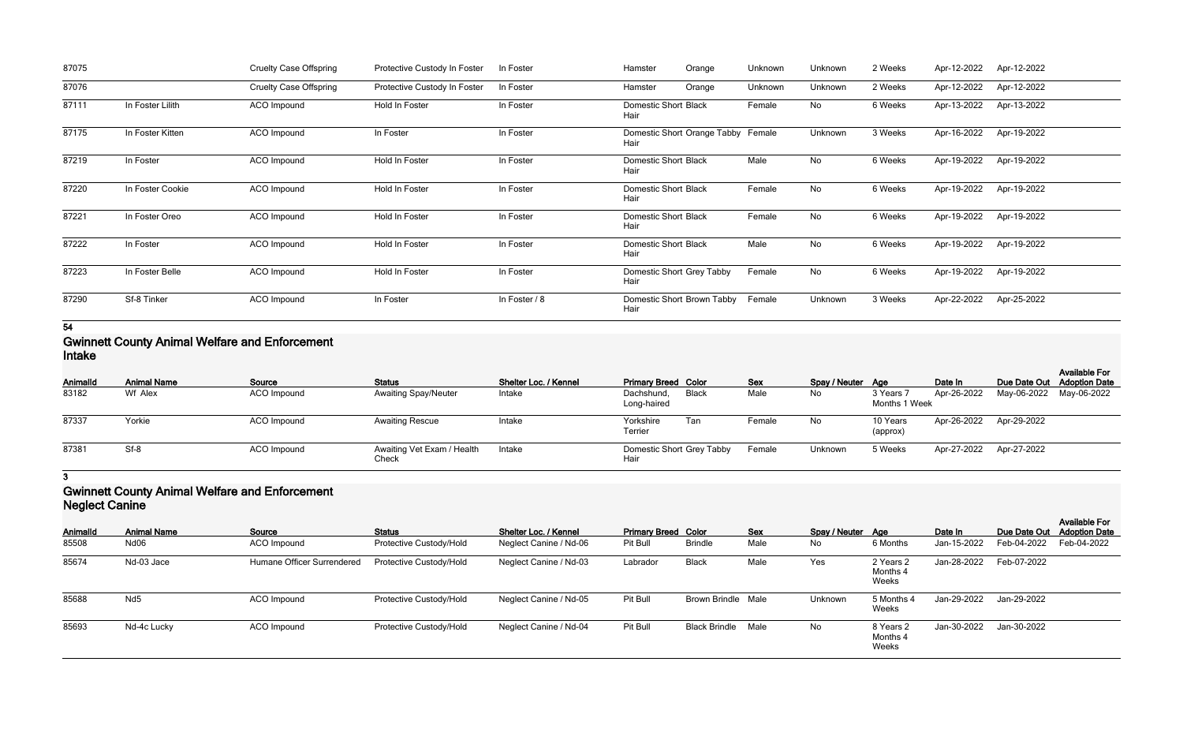| 87075 |                  | <b>Cruelty Case Offspring</b> | Protective Custody In Foster | In Foster     | Hamster<br>Orange                          | Unknown | Unknown   | 2 Weeks | Apr-12-2022 | Apr-12-2022 |
|-------|------------------|-------------------------------|------------------------------|---------------|--------------------------------------------|---------|-----------|---------|-------------|-------------|
| 87076 |                  | <b>Cruelty Case Offspring</b> | Protective Custody In Foster | In Foster     | Orange<br>Hamster                          | Unknown | Unknown   | 2 Weeks | Apr-12-2022 | Apr-12-2022 |
| 87111 | In Foster Lilith | ACO Impound                   | Hold In Foster               | In Foster     | <b>Domestic Short Black</b><br>Hair        | Female  | No        | 6 Weeks | Apr-13-2022 | Apr-13-2022 |
| 87175 | In Foster Kitten | ACO Impound                   | In Foster                    | In Foster     | Domestic Short Orange Tabby Female<br>Hair |         | Unknown   | 3 Weeks | Apr-16-2022 | Apr-19-2022 |
| 87219 | In Foster        | ACO Impound                   | Hold In Foster               | In Foster     | <b>Domestic Short Black</b><br>Hair        | Male    | No        | 6 Weeks | Apr-19-2022 | Apr-19-2022 |
| 87220 | In Foster Cookie | ACO Impound                   | Hold In Foster               | In Foster     | <b>Domestic Short Black</b><br>Hair        | Female  | <b>No</b> | 6 Weeks | Apr-19-2022 | Apr-19-2022 |
| 87221 | In Foster Oreo   | ACO Impound                   | Hold In Foster               | In Foster     | <b>Domestic Short Black</b><br>Hair        | Female  | No        | 6 Weeks | Apr-19-2022 | Apr-19-2022 |
| 87222 | In Foster        | ACO Impound                   | Hold In Foster               | In Foster     | <b>Domestic Short Black</b><br>Hair        | Male    | No        | 6 Weeks | Apr-19-2022 | Apr-19-2022 |
| 87223 | In Foster Belle  | ACO Impound                   | Hold In Foster               | In Foster     | Domestic Short Grey Tabby<br>Hair          | Female  | No        | 6 Weeks | Apr-19-2022 | Apr-19-2022 |
| 87290 | Sf-8 Tinker      | ACO Impound                   | In Foster                    | In Foster / 8 | Domestic Short Brown Tabby<br>Hair         | Female  | Unknown   | 3 Weeks | Apr-22-2022 | Apr-25-2022 |

### **Gwinnett County Animal Welfare and Enforcement Intake**

| <u></u>         |                    |                    |                                     |                       |                                   |       |            |                   |                            |                         |                         |                                                    |
|-----------------|--------------------|--------------------|-------------------------------------|-----------------------|-----------------------------------|-------|------------|-------------------|----------------------------|-------------------------|-------------------------|----------------------------------------------------|
| <b>AnimalId</b> | <b>Animal Name</b> | Source             | <b>Status</b>                       | Shelter Loc. / Kennel | <b>Primary Breed Color</b>        |       | <b>Sex</b> | Spay / Neuter Age |                            | Date In                 |                         | <b>Available For</b><br>Due Date Out Adoption Date |
| 83182           | Wf Alex            | ACO Impound        | <b>Awaiting Spay/Neuter</b>         | Intake                | Dachshund,<br>Long-haired         | Black | Male       | No.               | 3 Years 7<br>Months 1 Week | Apr-26-2022             | May-06-2022 May-06-2022 |                                                    |
| 87337           | Yorkie             | ACO Impound        | <b>Awaiting Rescue</b>              | Intake                | Yorkshire<br>Terrier              | Tan   | Female     | No.               | 10 Years<br>(approx)       | Apr-26-2022 Apr-29-2022 |                         |                                                    |
| 87381           | Sf-8               | <b>ACO</b> Impound | Awaiting Vet Exam / Health<br>Check | Intake                | Domestic Short Grey Tabby<br>Hair |       | Female     | Unknown           | 5 Weeks                    | Apr-27-2022 Apr-27-2022 |                         |                                                    |

# **3**

### **Gwinnett County Animal Welfare and Enforcement Neglect Canine**

| <b>AnimalId</b> | <b>Animal Name</b> | Source                     | <b>Status</b>           | Shelter Loc. / Kennel  | <b>Primary Breed Color</b> |                           | <b>Sex</b> | Spay / Neuter Age |                                | Date In     | Due Date Out | <b>Available For</b><br><b>Adoption Date</b> |
|-----------------|--------------------|----------------------------|-------------------------|------------------------|----------------------------|---------------------------|------------|-------------------|--------------------------------|-------------|--------------|----------------------------------------------|
| 85508           | Nd06               | ACO Impound                | Protective Custody/Hold | Neglect Canine / Nd-06 | Pit Bull                   | <b>Brindle</b>            | Male       | No                | 6 Months                       | Jan-15-2022 | Feb-04-2022  | Feb-04-2022                                  |
| 85674           | Nd-03 Jace         | Humane Officer Surrendered | Protective Custody/Hold | Neglect Canine / Nd-03 | Labrador                   | <b>Black</b>              | Male       | Yes               | 2 Years 2<br>Months 4<br>Weeks | Jan-28-2022 | Feb-07-2022  |                                              |
| 85688           | Nd <sub>5</sub>    | <b>ACO</b> Impound         | Protective Custody/Hold | Neglect Canine / Nd-05 | Pit Bull                   | <b>Brown Brindle Male</b> |            | Unknown           | 5 Months 4<br>Weeks            | Jan-29-2022 | Jan-29-2022  |                                              |
| 85693           | Nd-4c Lucky        | <b>ACO</b> Impound         | Protective Custody/Hold | Neglect Canine / Nd-04 | Pit Bull                   | <b>Black Brindle</b>      | Male       | No                | 8 Years 2<br>Months 4<br>Weeks | Jan-30-2022 | Jan-30-2022  |                                              |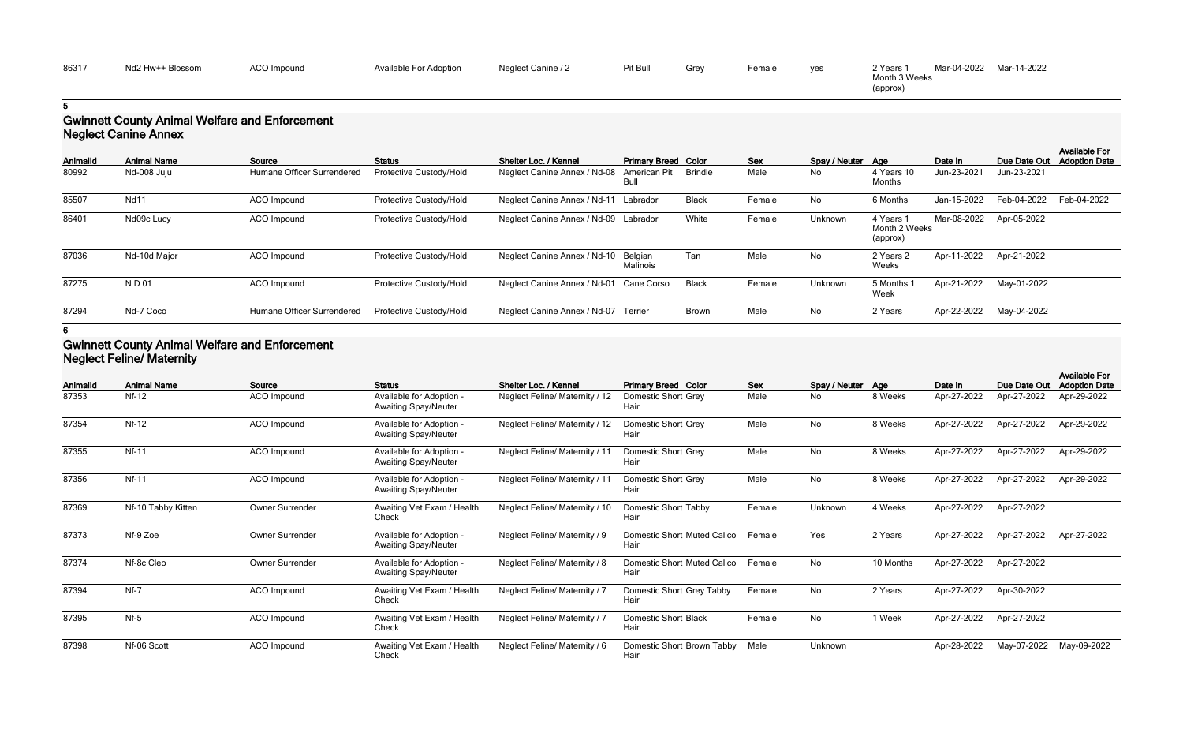| yes | 2 Years 1     | Mar-04-2022 | Mar-14-2022 |
|-----|---------------|-------------|-------------|
|     | Month 3 Weeks |             |             |
|     | (approx)      |             |             |

## **Gwinnett County Animal Welfare and Enforcement Neglect Canine Annex**

| <b>AnimalId</b> | <b>Animal Name</b> | Source                     | <b>Status</b>           | Shelter Loc. / Kennel                   | <b>Primary Breed Color</b> |              | <b>Sex</b> | Spay / Neuter Age |                                      | Date In     | Due Date Out | <b>Available For</b><br><b>Adoption Date</b> |
|-----------------|--------------------|----------------------------|-------------------------|-----------------------------------------|----------------------------|--------------|------------|-------------------|--------------------------------------|-------------|--------------|----------------------------------------------|
| 80992           | Nd-008 Juju        | Humane Officer Surrendered | Protective Custody/Hold | Neglect Canine Annex / Nd-08            | American Pit<br>Bull       | Brindle      | Male       | No                | 4 Years 10<br>Months                 | Jun-23-2021 | Jun-23-2021  |                                              |
| 85507           | <b>Nd11</b>        | <b>ACO</b> Impound         | Protective Custody/Hold | Neglect Canine Annex / Nd-11 Labrador   |                            | <b>Black</b> | Female     | <b>No</b>         | 6 Months                             | Jan-15-2022 | Feb-04-2022  | Feb-04-2022                                  |
| 86401           | Nd09c Lucy         | ACO Impound                | Protective Custody/Hold | Neglect Canine Annex / Nd-09 Labrador   |                            | White        | Female     | Unknown           | 4 Years<br>Month 2 Weeks<br>(approx) | Mar-08-2022 | Apr-05-2022  |                                              |
| 87036           | Nd-10d Major       | <b>ACO</b> Impound         | Protective Custody/Hold | Neglect Canine Annex / Nd-10            | Belgian<br>Malinois        | Tan          | Male       | No                | 2 Years 2<br>Weeks                   | Apr-11-2022 | Apr-21-2022  |                                              |
| 87275           | <b>ND01</b>        | <b>ACO</b> Impound         | Protective Custody/Hold | Neglect Canine Annex / Nd-01 Cane Corso |                            | Black        | Female     | Unknown           | 5 Months<br>Week                     | Apr-21-2022 | May-01-2022  |                                              |
| 87294           | Nd-7 Coco          | Humane Officer Surrendered | Protective Custody/Hold | Neglect Canine Annex / Nd-07 Terrier    |                            | <b>Brown</b> | Male       | No                | 2 Years                              | Apr-22-2022 | May-04-2022  |                                              |

#### **6**

### **Gwinnett County Animal Welfare and Enforcement Neglect Feline/ Maternity**

| <b>AnimalId</b> | <b>Animal Name</b> | Source          | <b>Status</b>                                           | Shelter Loc. / Kennel                | <b>Primary Breed Color</b>          | <b>Sex</b> | Spay / Neuter Age |           | Date In     | Due Date Out | <b>Available For</b><br><b>Adoption Date</b> |
|-----------------|--------------------|-----------------|---------------------------------------------------------|--------------------------------------|-------------------------------------|------------|-------------------|-----------|-------------|--------------|----------------------------------------------|
| 87353           | <b>Nf-12</b>       | ACO Impound     | Available for Adoption -<br><b>Awaiting Spay/Neuter</b> | Neglect Feline/ Maternity / 12       | Domestic Short Grey<br>Hair         | Male       | No                | 8 Weeks   | Apr-27-2022 | Apr-27-2022  | Apr-29-2022                                  |
| 87354           | $Nf-12$            | ACO Impound     | Available for Adoption -<br><b>Awaiting Spay/Neuter</b> | Neglect Feline/ Maternity / 12       | Domestic Short Grey<br>Hair         | Male       | No                | 8 Weeks   | Apr-27-2022 | Apr-27-2022  | Apr-29-2022                                  |
| 87355           | <b>Nf-11</b>       | ACO Impound     | Available for Adoption -<br><b>Awaiting Spay/Neuter</b> | Neglect Feline/ Maternity / 11       | Domestic Short Grey<br>Hair         | Male       | <b>No</b>         | 8 Weeks   | Apr-27-2022 | Apr-27-2022  | Apr-29-2022                                  |
| 87356           | $Nf-11$            | ACO Impound     | Available for Adoption -<br><b>Awaiting Spay/Neuter</b> | Neglect Feline/ Maternity / 11       | Domestic Short Grey<br>Hair         | Male       | No                | 8 Weeks   | Apr-27-2022 | Apr-27-2022  | Apr-29-2022                                  |
| 87369           | Nf-10 Tabby Kitten | Owner Surrender | Awaiting Vet Exam / Health<br>Check                     | Neglect Feline/ Maternity / 10       | Domestic Short Tabby<br>Hair        | Female     | Unknown           | 4 Weeks   | Apr-27-2022 | Apr-27-2022  |                                              |
| 87373           | Nf-9 Zoe           | Owner Surrender | Available for Adoption -<br><b>Awaiting Spay/Neuter</b> | <b>Neglect Feline/ Maternity / 9</b> | Domestic Short Muted Calico<br>Hair | Female     | Yes               | 2 Years   | Apr-27-2022 | Apr-27-2022  | Apr-27-2022                                  |
| 87374           | Nf-8c Cleo         | Owner Surrender | Available for Adoption -<br><b>Awaiting Spay/Neuter</b> | Neglect Feline/ Maternity / 8        | Domestic Short Muted Calico<br>Hair | Female     | No                | 10 Months | Apr-27-2022 | Apr-27-2022  |                                              |
| 87394           | $Nf-7$             | ACO Impound     | Awaiting Vet Exam / Health<br>Check                     | Neglect Feline/ Maternity / 7        | Domestic Short Grey Tabby<br>Hair   | Female     | No                | 2 Years   | Apr-27-2022 | Apr-30-2022  |                                              |
| 87395           | $Nf-5$             | ACO Impound     | Awaiting Vet Exam / Health<br>Check                     | Neglect Feline/ Maternity / 7        | <b>Domestic Short Black</b><br>Hair | Female     | No                | 1 Week    | Apr-27-2022 | Apr-27-2022  |                                              |
| 87398           | Nf-06 Scott        | ACO Impound     | Awaiting Vet Exam / Health<br>Check                     | Neglect Feline/ Maternity / 6        | Domestic Short Brown Tabby<br>Hair  | Male       | Unknown           |           | Apr-28-2022 | May-07-2022  | May-09-2022                                  |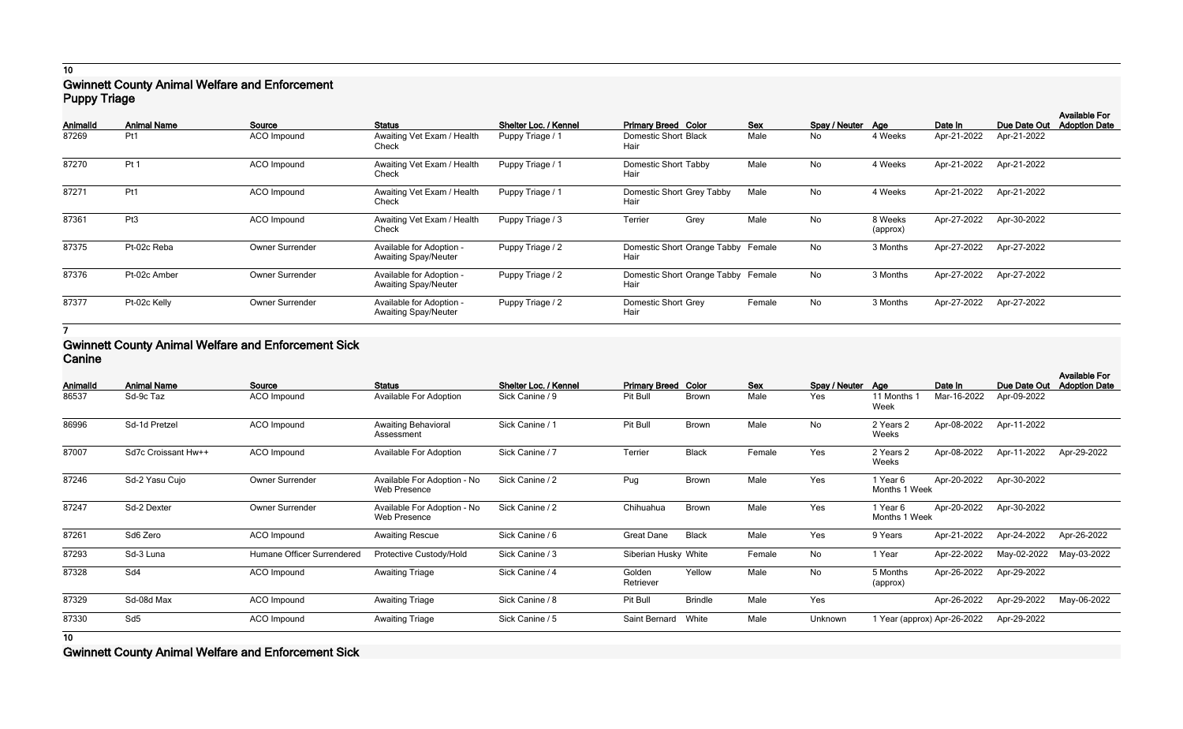## **10 Gwinnett County Animal Welfare and Enforcement Puppy Triage**

| Animalld | <b>Animal Name</b> | Source          | <b>Status</b>                                           | Shelter Loc. / Kennel | <b>Primary Breed Color</b>                 | <b>Sex</b> | Spay / Neuter Age |                     | Date In     | Due Date Out | <b>Available For</b><br><b>Adoption Date</b> |
|----------|--------------------|-----------------|---------------------------------------------------------|-----------------------|--------------------------------------------|------------|-------------------|---------------------|-------------|--------------|----------------------------------------------|
| 87269    | Pt1                | ACO Impound     | Awaiting Vet Exam / Health<br>Check                     | Puppy Triage / 1      | Domestic Short Black<br>Hair               | Male       | No                | 4 Weeks             | Apr-21-2022 | Apr-21-2022  |                                              |
| 87270    | Pt <sub>1</sub>    | ACO Impound     | Awaiting Vet Exam / Health<br>Check                     | Puppy Triage / 1      | Domestic Short Tabby<br>Hair               | Male       | No                | 4 Weeks             | Apr-21-2022 | Apr-21-2022  |                                              |
| 87271    | Pt1                | ACO Impound     | Awaiting Vet Exam / Health<br>Check                     | Puppy Triage / 1      | Domestic Short Grey Tabby<br>Hair          | Male       | No                | 4 Weeks             | Apr-21-2022 | Apr-21-2022  |                                              |
| 87361    | Pt <sub>3</sub>    | ACO Impound     | Awaiting Vet Exam / Health<br>Check                     | Puppy Triage / 3      | Terrier<br>Grey                            | Male       | No                | 8 Weeks<br>(approx) | Apr-27-2022 | Apr-30-2022  |                                              |
| 87375    | Pt-02c Reba        | Owner Surrender | Available for Adoption -<br><b>Awaiting Spay/Neuter</b> | Puppy Triage / 2      | Domestic Short Orange Tabby Female<br>Hair |            | No                | 3 Months            | Apr-27-2022 | Apr-27-2022  |                                              |
| 87376    | Pt-02c Amber       | Owner Surrender | Available for Adoption -<br><b>Awaiting Spay/Neuter</b> | Puppy Triage / 2      | Domestic Short Orange Tabby Female<br>Hair |            | No                | 3 Months            | Apr-27-2022 | Apr-27-2022  |                                              |
| 87377    | Pt-02c Kelly       | Owner Surrender | Available for Adoption -<br><b>Awaiting Spay/Neuter</b> | Puppy Triage / 2      | Domestic Short Grey<br>Hair                | Female     | No                | 3 Months            | Apr-27-2022 | Apr-27-2022  |                                              |

**7**

### **Gwinnett County Animal Welfare and Enforcement Sick Canine**

| Animalld       | <b>Animal Name</b>  | Source                     | <b>Status</b>                               | Shelter Loc. / Kennel | <b>Primary Breed Color</b> |                | <b>Sex</b> | Spay / Neuter Age |                           | Date In                     | Due Date Out | <b>Available For</b><br><b>Adoption Date</b> |
|----------------|---------------------|----------------------------|---------------------------------------------|-----------------------|----------------------------|----------------|------------|-------------------|---------------------------|-----------------------------|--------------|----------------------------------------------|
| 86537          | Sd-9c Taz           | ACO Impound                | Available For Adoption                      | Sick Canine / 9       | Pit Bull                   | <b>Brown</b>   | Male       | Yes               | 11 Months 1<br>Week       | Mar-16-2022                 | Apr-09-2022  |                                              |
| 86996          | Sd-1d Pretzel       | ACO Impound                | <b>Awaiting Behavioral</b><br>Assessment    | Sick Canine / 1       | Pit Bull                   | <b>Brown</b>   | Male       | No                | 2 Years 2<br>Weeks        | Apr-08-2022                 | Apr-11-2022  |                                              |
| 87007          | Sd7c Croissant Hw++ | ACO Impound                | Available For Adoption                      | Sick Canine / 7       | Terrier                    | <b>Black</b>   | Female     | Yes               | 2 Years 2<br>Weeks        | Apr-08-2022                 | Apr-11-2022  | Apr-29-2022                                  |
| 87246          | Sd-2 Yasu Cujo      | Owner Surrender            | Available For Adoption - No<br>Web Presence | Sick Canine / 2       | Pug                        | <b>Brown</b>   | Male       | Yes               | 1 Year 6<br>Months 1 Week | Apr-20-2022                 | Apr-30-2022  |                                              |
| 87247          | Sd-2 Dexter         | Owner Surrender            | Available For Adoption - No<br>Web Presence | Sick Canine / 2       | Chihuahua                  | <b>Brown</b>   | Male       | Yes               | 1 Year 6<br>Months 1 Week | Apr-20-2022                 | Apr-30-2022  |                                              |
| 87261          | Sd6 Zero            | ACO Impound                | <b>Awaiting Rescue</b>                      | Sick Canine / 6       | <b>Great Dane</b>          | <b>Black</b>   | Male       | Yes               | 9 Years                   | Apr-21-2022                 | Apr-24-2022  | Apr-26-2022                                  |
| 87293          | Sd-3 Luna           | Humane Officer Surrendered | Protective Custody/Hold                     | Sick Canine / 3       | Siberian Husky White       |                | Female     | No                | 1 Year                    | Apr-22-2022                 | May-02-2022  | May-03-2022                                  |
| 87328          | Sd4                 | ACO Impound                | <b>Awaiting Triage</b>                      | Sick Canine / 4       | Golden<br>Retriever        | Yellow         | Male       | <b>No</b>         | 5 Months<br>(approx)      | Apr-26-2022                 | Apr-29-2022  |                                              |
| 87329          | Sd-08d Max          | ACO Impound                | <b>Awaiting Triage</b>                      | Sick Canine / 8       | Pit Bull                   | <b>Brindle</b> | Male       | Yes               |                           | Apr-26-2022                 | Apr-29-2022  | May-06-2022                                  |
| 87330          | Sd <sub>5</sub>     | ACO Impound                | <b>Awaiting Triage</b>                      | Sick Canine / 5       | Saint Bernard              | White          | Male       | Unknown           |                           | 1 Year (approx) Apr-26-2022 | Apr-29-2022  |                                              |
| $\overline{a}$ |                     |                            |                                             |                       |                            |                |            |                   |                           |                             |              |                                              |

**10**

**Gwinnett County Animal Welfare and Enforcement Sick**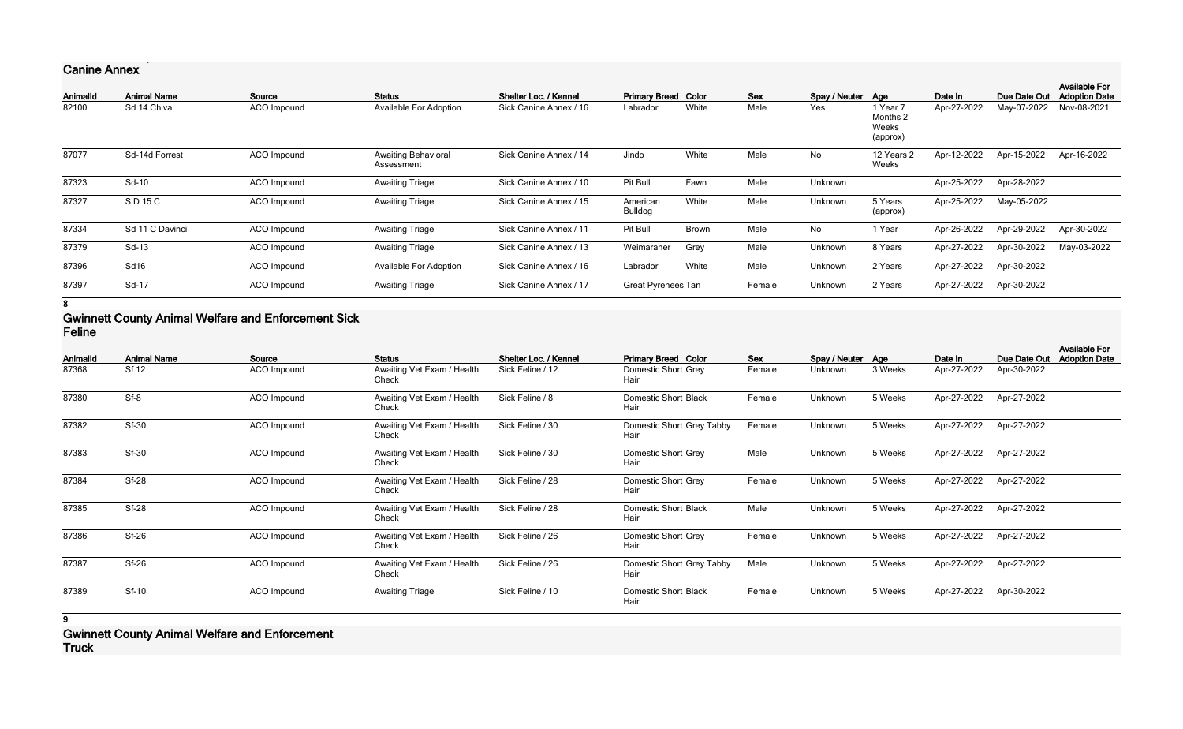# **Canine Annex**

| Animalld | <b>Animal Name</b> | Source      | <b>Status</b>                            | Shelter Loc. / Kennel  | <b>Primary Breed Color</b> |       | <b>Sex</b> | Spay / Neuter | Aae                                       | Date In     | Due Date Out | <b>Available For</b><br><b>Adoption Date</b> |
|----------|--------------------|-------------|------------------------------------------|------------------------|----------------------------|-------|------------|---------------|-------------------------------------------|-------------|--------------|----------------------------------------------|
| 82100    | Sd 14 Chiva        | ACO Impound | Available For Adoption                   | Sick Canine Annex / 16 | Labrador                   | White | Male       | Yes           | 1 Year 7<br>Months 2<br>Weeks<br>(approx) | Apr-27-2022 | May-07-2022  | Nov-08-2021                                  |
| 87077    | Sd-14d Forrest     | ACO Impound | <b>Awaiting Behavioral</b><br>Assessment | Sick Canine Annex / 14 | Jindo                      | White | Male       | No            | 12 Years 2<br>Weeks                       | Apr-12-2022 | Apr-15-2022  | Apr-16-2022                                  |
| 87323    | Sd-10              | ACO Impound | <b>Awaiting Triage</b>                   | Sick Canine Annex / 10 | Pit Bull                   | Fawn  | Male       | Unknown       |                                           | Apr-25-2022 | Apr-28-2022  |                                              |
| 87327    | SD 15 C            | ACO Impound | <b>Awaiting Triage</b>                   | Sick Canine Annex / 15 | American<br>Bulldog        | White | Male       | Unknown       | 5 Years<br>(approx)                       | Apr-25-2022 | May-05-2022  |                                              |
| 87334    | Sd 11 C Davinci    | ACO Impound | <b>Awaiting Triage</b>                   | Sick Canine Annex / 11 | Pit Bull                   | Brown | Male       | No            | 1 Year                                    | Apr-26-2022 | Apr-29-2022  | Apr-30-2022                                  |
| 87379    | Sd-13              | ACO Impound | <b>Awaiting Triage</b>                   | Sick Canine Annex / 13 | Weimaraner                 | Grey  | Male       | Unknown       | 8 Years                                   | Apr-27-2022 | Apr-30-2022  | May-03-2022                                  |
| 87396    | Sd16               | ACO Impound | Available For Adoption                   | Sick Canine Annex / 16 | Labrador                   | White | Male       | Unknown       | 2 Years                                   | Apr-27-2022 | Apr-30-2022  |                                              |
| 87397    | Sd-17              | ACO Impound | <b>Awaiting Triage</b>                   | Sick Canine Annex / 17 | <b>Great Pyrenees Tan</b>  |       | Female     | Unknown       | 2 Years                                   | Apr-27-2022 | Apr-30-2022  |                                              |

#### **8**

### **Gwinnett County Animal Welfare and Enforcement Sick Feline**

|          |                    |             |                                     |                       |                                     |        |                   |         |             |              | <b>Available For</b> |
|----------|--------------------|-------------|-------------------------------------|-----------------------|-------------------------------------|--------|-------------------|---------|-------------|--------------|----------------------|
| Animalld | <b>Animal Name</b> | Source      | <b>Status</b>                       | Shelter Loc. / Kennel | <b>Primary Breed Color</b>          | Sex    | Spay / Neuter Age |         | Date In     | Due Date Out | <b>Adoption Date</b> |
| 87368    | <b>Sf 12</b>       | ACO Impound | Awaiting Vet Exam / Health<br>Check | Sick Feline / 12      | Domestic Short Grey<br>Hair         | Female | Unknown           | 3 Weeks | Apr-27-2022 | Apr-30-2022  |                      |
| 87380    | $Sf-8$             | ACO Impound | Awaiting Vet Exam / Health<br>Check | Sick Feline / 8       | Domestic Short Black<br>Hair        | Female | Unknown           | 5 Weeks | Apr-27-2022 | Apr-27-2022  |                      |
| 87382    | <b>Sf-30</b>       | ACO Impound | Awaiting Vet Exam / Health<br>Check | Sick Feline / 30      | Domestic Short Grey Tabby<br>Hair   | Female | Unknown           | 5 Weeks | Apr-27-2022 | Apr-27-2022  |                      |
| 87383    | Sf-30              | ACO Impound | Awaiting Vet Exam / Health<br>Check | Sick Feline / 30      | Domestic Short Grey<br>Hair         | Male   | Unknown           | 5 Weeks | Apr-27-2022 | Apr-27-2022  |                      |
| 87384    | <b>Sf-28</b>       | ACO Impound | Awaiting Vet Exam / Health<br>Check | Sick Feline / 28      | Domestic Short Grey<br>Hair         | Female | Unknown           | 5 Weeks | Apr-27-2022 | Apr-27-2022  |                      |
| 87385    | <b>Sf-28</b>       | ACO Impound | Awaiting Vet Exam / Health<br>Check | Sick Feline / 28      | <b>Domestic Short Black</b><br>Hair | Male   | Unknown           | 5 Weeks | Apr-27-2022 | Apr-27-2022  |                      |
| 87386    | $Sf-26$            | ACO Impound | Awaiting Vet Exam / Health<br>Check | Sick Feline / 26      | Domestic Short Grey<br>Hair         | Female | Unknown           | 5 Weeks | Apr-27-2022 | Apr-27-2022  |                      |
| 87387    | $Sf-26$            | ACO Impound | Awaiting Vet Exam / Health<br>Check | Sick Feline / 26      | Domestic Short Grey Tabby<br>Hair   | Male   | Unknown           | 5 Weeks | Apr-27-2022 | Apr-27-2022  |                      |
| 87389    | <b>Sf-10</b>       | ACO Impound | <b>Awaiting Triage</b>              | Sick Feline / 10      | <b>Domestic Short Black</b><br>Hair | Female | Unknown           | 5 Weeks | Apr-27-2022 | Apr-30-2022  |                      |

## **9 Gwinnett County Animal Welfare and Enforcement Truck**